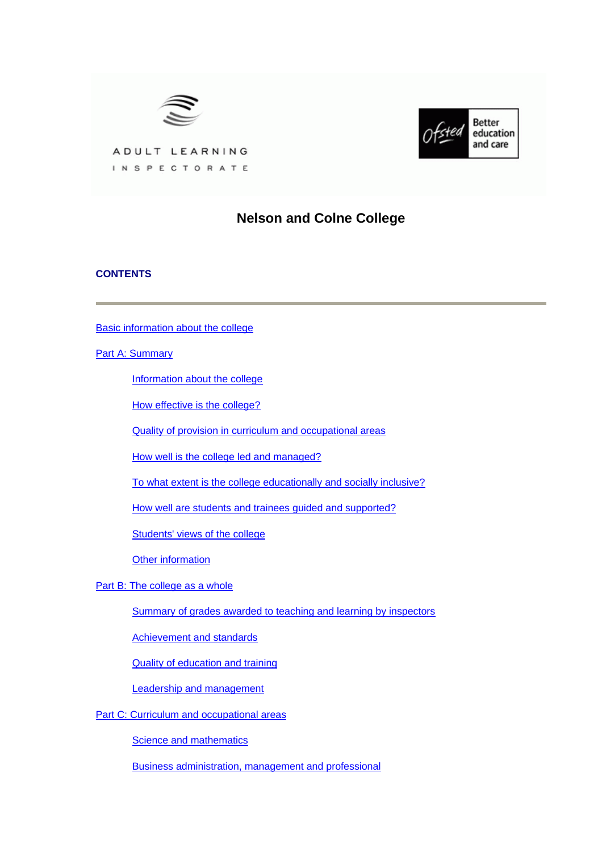



ADULT LEARNING INSPECTORATE

# **Nelson and Colne College**

### **CONTENTS**

[Basic information about the college](#page-1-0)

[Part A: Summary](#page-1-0)

[Information about the college](#page-1-0)

[How effective is the college?](#page-2-0)

[Quality of provision in curriculum and occupational areas](#page-4-0)

[How well is the college led and managed?](#page-5-0)

[To what extent is the college educationally and socially inclusive?](#page-5-0)

[How well are students and trainees guided and supported?](#page-6-0)

[Students' views of the college](#page-6-0)

[Other information](#page-7-0)

[Part B: The college as a whole](#page-7-0)

[Summary of grades awarded to teaching and learning by inspectors](#page-7-0)

[Achievement and standards](#page-8-0)

[Quality of education and training](#page-9-0)

[Leadership and management](#page-12-0)

[Part C: Curriculum and occupational areas](#page-14-0)

**[Science and mathematics](#page-14-0)** 

[Business administration, management and professional](#page-17-0)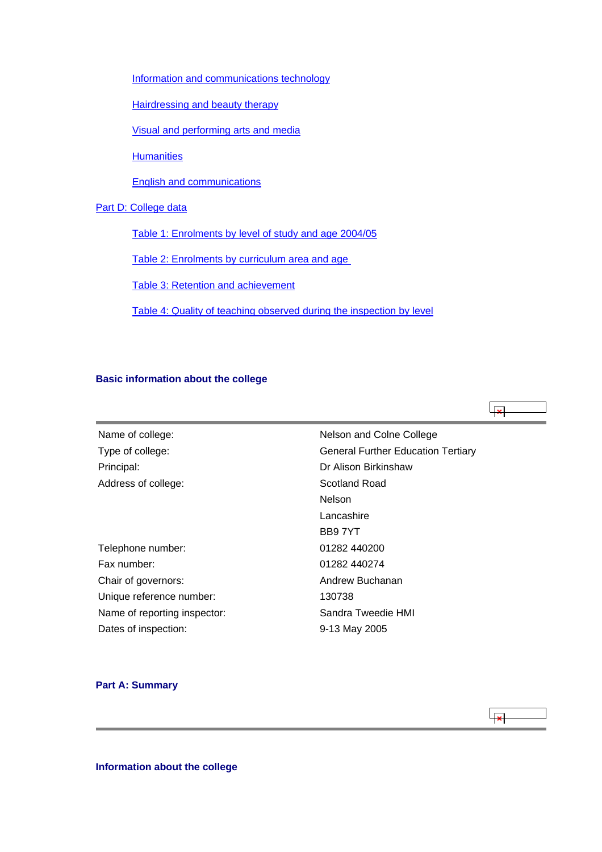<span id="page-1-0"></span>[Information and communications technology](#page-20-0)

**[Hairdressing and beauty therapy](#page-23-0)** 

[Visual and performing arts and media](#page-26-0)

**[Humanities](#page-29-0)** 

[English and communications](#page-32-0)

### [Part D: College data](#page-34-0)

[Table 1: Enrolments by level of study and age 2004/05](#page-35-0)

[Table 2: Enrolments by curriculum area and age](#page-35-0) 

[Table 3: Retention and achievement](#page-36-0)

[Table 4: Quality of teaching observed during the inspection by level](#page-37-0)

### **Basic information about the college**

 $\overline{\mathbf{x}}$ 

| Name of college:             | Nelson and Colne College                  |
|------------------------------|-------------------------------------------|
| Type of college:             | <b>General Further Education Tertiary</b> |
| Principal:                   | Dr Alison Birkinshaw                      |
| Address of college:          | Scotland Road                             |
|                              | <b>Nelson</b>                             |
|                              | Lancashire                                |
|                              | BB97YT                                    |
| Telephone number:            | 01282 440200                              |
| Fax number:                  | 01282 440274                              |
| Chair of governors:          | Andrew Buchanan                           |
| Unique reference number:     | 130738                                    |
| Name of reporting inspector: | Sandra Tweedie HMI                        |
| Dates of inspection:         | 9-13 May 2005                             |
|                              |                                           |

### **Part A: Summary**

 $\overline{\phantom{a}}$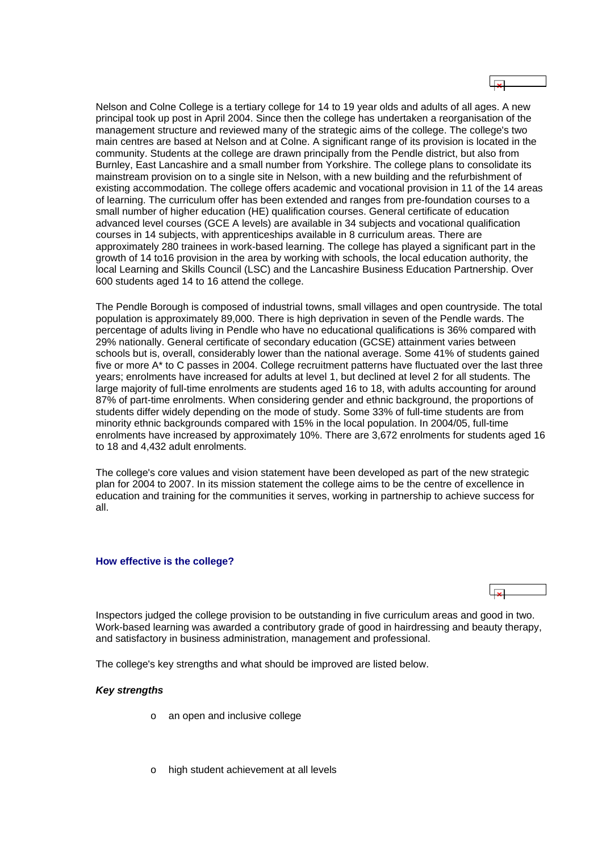<span id="page-2-0"></span>Nelson and Colne College is a tertiary college for 14 to 19 year olds and adults of all ages. A new principal took up post in April 2004. Since then the college has undertaken a reorganisation of the management structure and reviewed many of the strategic aims of the college. The college's two main centres are based at Nelson and at Colne. A significant range of its provision is located in the community. Students at the college are drawn principally from the Pendle district, but also from Burnley, East Lancashire and a small number from Yorkshire. The college plans to consolidate its mainstream provision on to a single site in Nelson, with a new building and the refurbishment of existing accommodation. The college offers academic and vocational provision in 11 of the 14 areas of learning. The curriculum offer has been extended and ranges from pre-foundation courses to a small number of higher education (HE) qualification courses. General certificate of education advanced level courses (GCE A levels) are available in 34 subjects and vocational qualification courses in 14 subjects, with apprenticeships available in 8 curriculum areas. There are approximately 280 trainees in work-based learning. The college has played a significant part in the growth of 14 to16 provision in the area by working with schools, the local education authority, the local Learning and Skills Council (LSC) and the Lancashire Business Education Partnership. Over 600 students aged 14 to 16 attend the college.

The Pendle Borough is composed of industrial towns, small villages and open countryside. The total population is approximately 89,000. There is high deprivation in seven of the Pendle wards. The percentage of adults living in Pendle who have no educational qualifications is 36% compared with 29% nationally. General certificate of secondary education (GCSE) attainment varies between schools but is, overall, considerably lower than the national average. Some 41% of students gained five or more A\* to C passes in 2004. College recruitment patterns have fluctuated over the last three years; enrolments have increased for adults at level 1, but declined at level 2 for all students. The large majority of full-time enrolments are students aged 16 to 18, with adults accounting for around 87% of part-time enrolments. When considering gender and ethnic background, the proportions of students differ widely depending on the mode of study. Some 33% of full-time students are from minority ethnic backgrounds compared with 15% in the local population. In 2004/05, full-time enrolments have increased by approximately 10%. There are 3,672 enrolments for students aged 16 to 18 and 4,432 adult enrolments.

The college's core values and vision statement have been developed as part of the new strategic plan for 2004 to 2007. In its mission statement the college aims to be the centre of excellence in education and training for the communities it serves, working in partnership to achieve success for all.

### **How effective is the college?**

Inspectors judged the college provision to be outstanding in five curriculum areas and good in two. Work-based learning was awarded a contributory grade of good in hairdressing and beauty therapy, and satisfactory in business administration, management and professional.

The college's key strengths and what should be improved are listed below.

### *Key strengths*

- o an open and inclusive college
- o high student achievement at all levels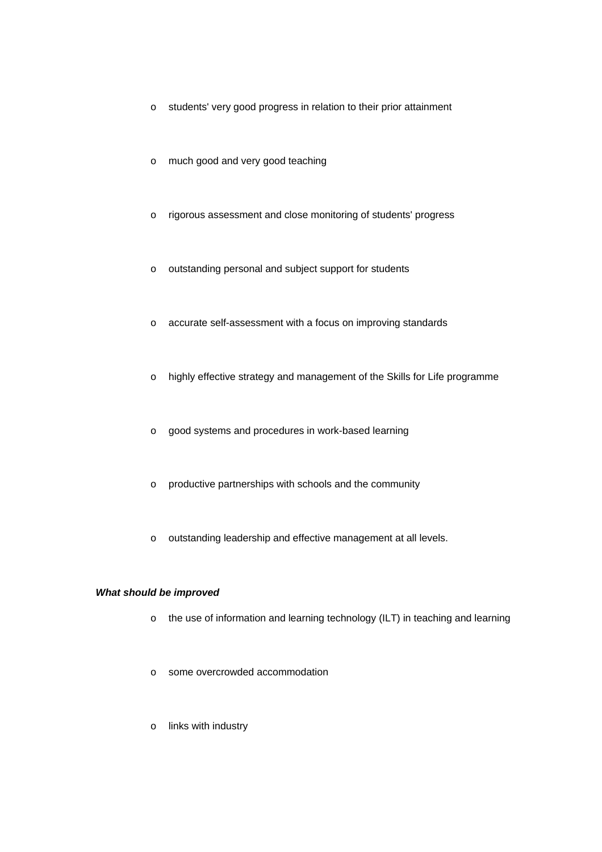- o students' very good progress in relation to their prior attainment
- o much good and very good teaching
- o rigorous assessment and close monitoring of students' progress
- o outstanding personal and subject support for students
- o accurate self-assessment with a focus on improving standards
- o highly effective strategy and management of the Skills for Life programme
- o good systems and procedures in work-based learning
- o productive partnerships with schools and the community
- o outstanding leadership and effective management at all levels.

### *What should be improved*

- o the use of information and learning technology (ILT) in teaching and learning
- o some overcrowded accommodation
- o links with industry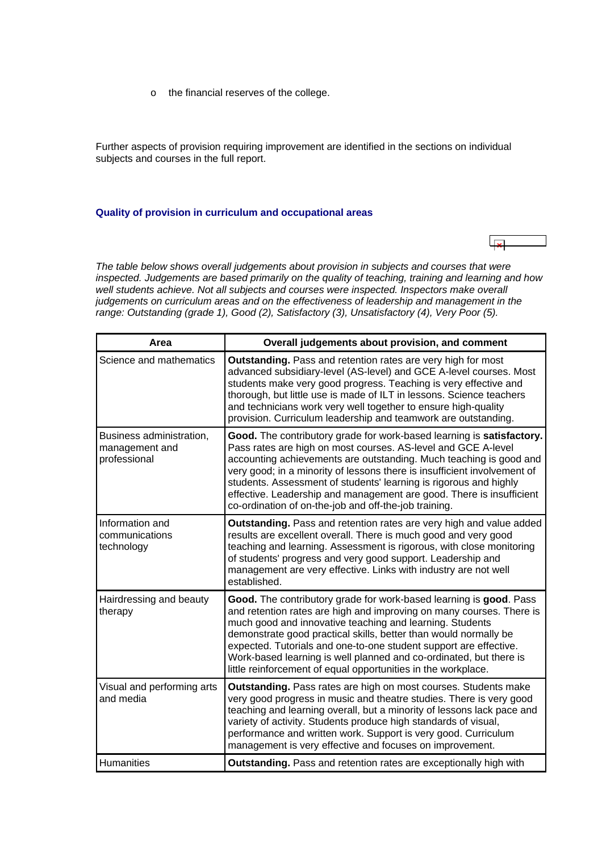o the financial reserves of the college.

<span id="page-4-0"></span>Further aspects of provision requiring improvement are identified in the sections on individual subjects and courses in the full report.

#### **Quality of provision in curriculum and occupational areas**

*The table below shows overall judgements about provision in subjects and courses that were inspected. Judgements are based primarily on the quality of teaching, training and learning and how well students achieve. Not all subjects and courses were inspected. Inspectors make overall judgements on curriculum areas and on the effectiveness of leadership and management in the range: Outstanding (grade 1), Good (2), Satisfactory (3), Unsatisfactory (4), Very Poor (5).*

| Area                                                       | Overall judgements about provision, and comment                                                                                                                                                                                                                                                                                                                                                                                                                                                |
|------------------------------------------------------------|------------------------------------------------------------------------------------------------------------------------------------------------------------------------------------------------------------------------------------------------------------------------------------------------------------------------------------------------------------------------------------------------------------------------------------------------------------------------------------------------|
| Science and mathematics                                    | <b>Outstanding.</b> Pass and retention rates are very high for most<br>advanced subsidiary-level (AS-level) and GCE A-level courses. Most<br>students make very good progress. Teaching is very effective and<br>thorough, but little use is made of ILT in lessons. Science teachers<br>and technicians work very well together to ensure high-quality<br>provision. Curriculum leadership and teamwork are outstanding.                                                                      |
| Business administration,<br>management and<br>professional | Good. The contributory grade for work-based learning is satisfactory.<br>Pass rates are high on most courses. AS-level and GCE A-level<br>accounting achievements are outstanding. Much teaching is good and<br>very good; in a minority of lessons there is insufficient involvement of<br>students. Assessment of students' learning is rigorous and highly<br>effective. Leadership and management are good. There is insufficient<br>co-ordination of on-the-job and off-the-job training. |
| Information and<br>communications<br>technology            | <b>Outstanding.</b> Pass and retention rates are very high and value added<br>results are excellent overall. There is much good and very good<br>teaching and learning. Assessment is rigorous, with close monitoring<br>of students' progress and very good support. Leadership and<br>management are very effective. Links with industry are not well<br>established.                                                                                                                        |
| Hairdressing and beauty<br>therapy                         | Good. The contributory grade for work-based learning is good. Pass<br>and retention rates are high and improving on many courses. There is<br>much good and innovative teaching and learning. Students<br>demonstrate good practical skills, better than would normally be<br>expected. Tutorials and one-to-one student support are effective.<br>Work-based learning is well planned and co-ordinated, but there is<br>little reinforcement of equal opportunities in the workplace.         |
| Visual and performing arts<br>and media                    | Outstanding. Pass rates are high on most courses. Students make<br>very good progress in music and theatre studies. There is very good<br>teaching and learning overall, but a minority of lessons lack pace and<br>variety of activity. Students produce high standards of visual,<br>performance and written work. Support is very good. Curriculum<br>management is very effective and focuses on improvement.                                                                              |
| <b>Humanities</b>                                          | <b>Outstanding.</b> Pass and retention rates are exceptionally high with                                                                                                                                                                                                                                                                                                                                                                                                                       |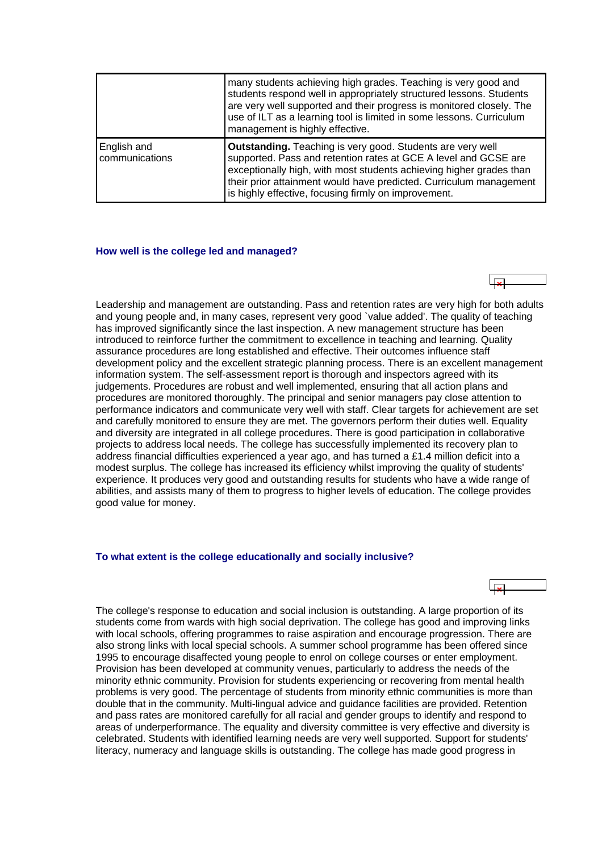<span id="page-5-0"></span>

|                               | many students achieving high grades. Teaching is very good and<br>students respond well in appropriately structured lessons. Students<br>are very well supported and their progress is monitored closely. The<br>use of ILT as a learning tool is limited in some lessons. Curriculum<br>management is highly effective.                  |
|-------------------------------|-------------------------------------------------------------------------------------------------------------------------------------------------------------------------------------------------------------------------------------------------------------------------------------------------------------------------------------------|
| English and<br>communications | <b>Outstanding.</b> Teaching is very good. Students are very well<br>supported. Pass and retention rates at GCE A level and GCSE are<br>exceptionally high, with most students achieving higher grades than<br>their prior attainment would have predicted. Curriculum management<br>is highly effective, focusing firmly on improvement. |

#### **How well is the college led and managed?**



Leadership and management are outstanding. Pass and retention rates are very high for both adults and young people and, in many cases, represent very good `value added'. The quality of teaching has improved significantly since the last inspection. A new management structure has been introduced to reinforce further the commitment to excellence in teaching and learning. Quality assurance procedures are long established and effective. Their outcomes influence staff development policy and the excellent strategic planning process. There is an excellent management information system. The self-assessment report is thorough and inspectors agreed with its judgements. Procedures are robust and well implemented, ensuring that all action plans and procedures are monitored thoroughly. The principal and senior managers pay close attention to performance indicators and communicate very well with staff. Clear targets for achievement are set and carefully monitored to ensure they are met. The governors perform their duties well. Equality and diversity are integrated in all college procedures. There is good participation in collaborative projects to address local needs. The college has successfully implemented its recovery plan to address financial difficulties experienced a year ago, and has turned a £1.4 million deficit into a modest surplus. The college has increased its efficiency whilst improving the quality of students' experience. It produces very good and outstanding results for students who have a wide range of abilities, and assists many of them to progress to higher levels of education. The college provides good value for money.

### **To what extent is the college educationally and socially inclusive?**



The college's response to education and social inclusion is outstanding. A large proportion of its students come from wards with high social deprivation. The college has good and improving links with local schools, offering programmes to raise aspiration and encourage progression. There are also strong links with local special schools. A summer school programme has been offered since 1995 to encourage disaffected young people to enrol on college courses or enter employment. Provision has been developed at community venues, particularly to address the needs of the minority ethnic community. Provision for students experiencing or recovering from mental health problems is very good. The percentage of students from minority ethnic communities is more than double that in the community. Multi-lingual advice and guidance facilities are provided. Retention and pass rates are monitored carefully for all racial and gender groups to identify and respond to areas of underperformance. The equality and diversity committee is very effective and diversity is celebrated. Students with identified learning needs are very well supported. Support for students' literacy, numeracy and language skills is outstanding. The college has made good progress in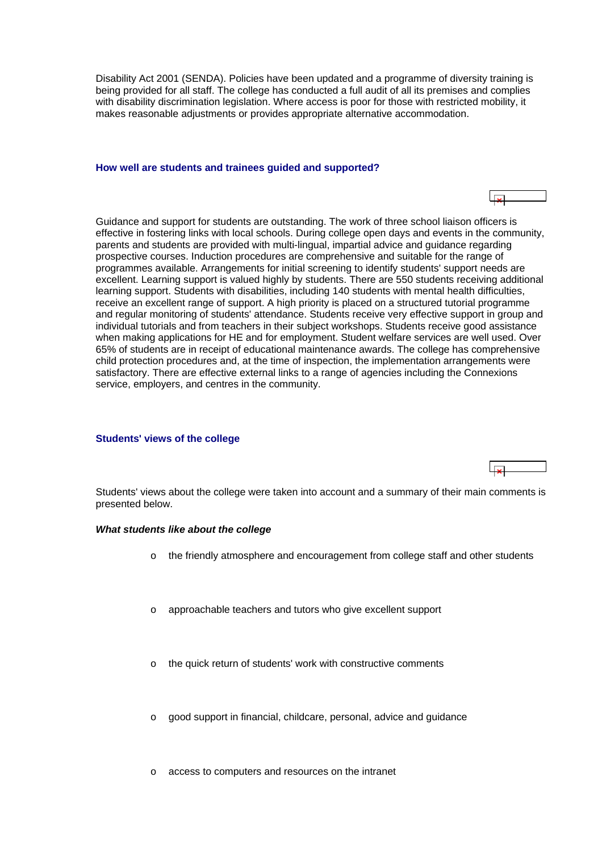<span id="page-6-0"></span>Disability Act 2001 (SENDA). Policies have been updated and a programme of diversity training is being provided for all staff. The college has conducted a full audit of all its premises and complies with disability discrimination legislation. Where access is poor for those with restricted mobility, it makes reasonable adjustments or provides appropriate alternative accommodation.

### **How well are students and trainees guided and supported?**

Guidance and support for students are outstanding. The work of three school liaison officers is effective in fostering links with local schools. During college open days and events in the community, parents and students are provided with multi-lingual, impartial advice and guidance regarding prospective courses. Induction procedures are comprehensive and suitable for the range of programmes available. Arrangements for initial screening to identify students' support needs are excellent. Learning support is valued highly by students. There are 550 students receiving additional learning support. Students with disabilities, including 140 students with mental health difficulties, receive an excellent range of support. A high priority is placed on a structured tutorial programme and regular monitoring of students' attendance. Students receive very effective support in group and individual tutorials and from teachers in their subject workshops. Students receive good assistance when making applications for HE and for employment. Student welfare services are well used. Over 65% of students are in receipt of educational maintenance awards. The college has comprehensive child protection procedures and, at the time of inspection, the implementation arrangements were satisfactory. There are effective external links to a range of agencies including the Connexions service, employers, and centres in the community.

### **Students' views of the college**

Students' views about the college were taken into account and a summary of their main comments is presented below.

### *What students like about the college*

- o the friendly atmosphere and encouragement from college staff and other students
- approachable teachers and tutors who give excellent support
- the quick return of students' work with constructive comments
- good support in financial, childcare, personal, advice and guidance
- access to computers and resources on the intranet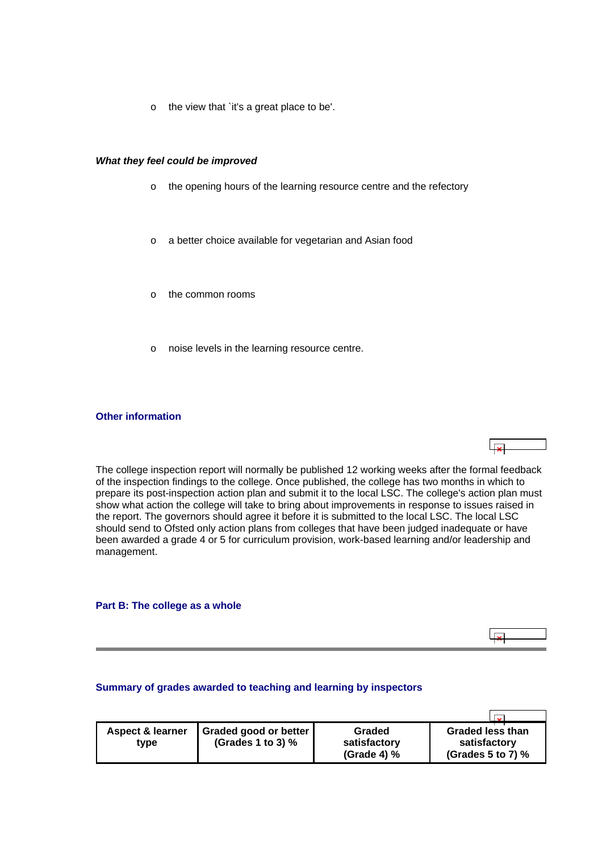<span id="page-7-0"></span>o the view that `it's a great place to be'.

### *What they feel could be improved*

- o the opening hours of the learning resource centre and the refectory
- o a better choice available for vegetarian and Asian food
- o the common rooms
- o noise levels in the learning resource centre.

### **Other information**

The college inspection report will normally be published 12 working weeks after the formal feedback of the inspection findings to the college. Once published, the college has two months in which to prepare its post-inspection action plan and submit it to the local LSC. The college's action plan must show what action the college will take to bring about improvements in response to issues raised in the report. The governors should agree it before it is submitted to the local LSC. The local LSC should send to Ofsted only action plans from colleges that have been judged inadequate or have been awarded a grade 4 or 5 for curriculum provision, work-based learning and/or leadership and management.

 $\overline{1}$ 

 $\overline{\phantom{a}}$ 

**Part B: The college as a whole**

### **Summary of grades awarded to teaching and learning by inspectors**

| <b>Aspect &amp; learner</b><br>type | Graded good or better<br>(Grades 1 to 3) $%$ | <b>Graded</b><br>satisfactory<br>(Grade 4) $%$ | <b>Graded less than</b><br>satisfactory<br>(Grades 5 to 7) $%$ |
|-------------------------------------|----------------------------------------------|------------------------------------------------|----------------------------------------------------------------|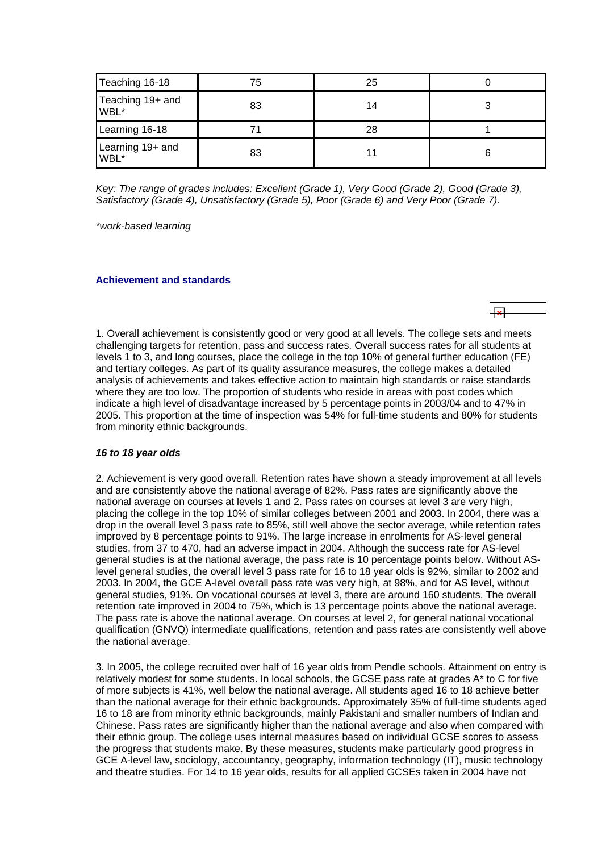<span id="page-8-0"></span>

| Teaching 16-18           | 75 | 25 |  |
|--------------------------|----|----|--|
| Teaching 19+ and<br>WBL* | 83 | 14 |  |
| Learning 16-18           |    | 28 |  |
| Learning 19+ and<br>WBL* | 83 |    |  |

*Key: The range of grades includes: Excellent (Grade 1), Very Good (Grade 2), Good (Grade 3), Satisfactory (Grade 4), Unsatisfactory (Grade 5), Poor (Grade 6) and Very Poor (Grade 7).*

*\*work-based learning*

#### **Achievement and standards**

1. Overall achievement is consistently good or very good at all levels. The college sets and meets challenging targets for retention, pass and success rates. Overall success rates for all students at levels 1 to 3, and long courses, place the college in the top 10% of general further education (FE) and tertiary colleges. As part of its quality assurance measures, the college makes a detailed analysis of achievements and takes effective action to maintain high standards or raise standards where they are too low. The proportion of students who reside in areas with post codes which indicate a high level of disadvantage increased by 5 percentage points in 2003/04 and to 47% in 2005. This proportion at the time of inspection was 54% for full-time students and 80% for students from minority ethnic backgrounds.

### *16 to 18 year olds*

2. Achievement is very good overall. Retention rates have shown a steady improvement at all levels and are consistently above the national average of 82%. Pass rates are significantly above the national average on courses at levels 1 and 2. Pass rates on courses at level 3 are very high, placing the college in the top 10% of similar colleges between 2001 and 2003. In 2004, there was a drop in the overall level 3 pass rate to 85%, still well above the sector average, while retention rates improved by 8 percentage points to 91%. The large increase in enrolments for AS-level general studies, from 37 to 470, had an adverse impact in 2004. Although the success rate for AS-level general studies is at the national average, the pass rate is 10 percentage points below. Without ASlevel general studies, the overall level 3 pass rate for 16 to 18 year olds is 92%, similar to 2002 and 2003. In 2004, the GCE A-level overall pass rate was very high, at 98%, and for AS level, without general studies, 91%. On vocational courses at level 3, there are around 160 students. The overall retention rate improved in 2004 to 75%, which is 13 percentage points above the national average. The pass rate is above the national average. On courses at level 2, for general national vocational qualification (GNVQ) intermediate qualifications, retention and pass rates are consistently well above the national average.

3. In 2005, the college recruited over half of 16 year olds from Pendle schools. Attainment on entry is relatively modest for some students. In local schools, the GCSE pass rate at grades A\* to C for five of more subjects is 41%, well below the national average. All students aged 16 to 18 achieve better than the national average for their ethnic backgrounds. Approximately 35% of full-time students aged 16 to 18 are from minority ethnic backgrounds, mainly Pakistani and smaller numbers of Indian and Chinese. Pass rates are significantly higher than the national average and also when compared with their ethnic group. The college uses internal measures based on individual GCSE scores to assess the progress that students make. By these measures, students make particularly good progress in GCE A-level law, sociology, accountancy, geography, information technology (IT), music technology and theatre studies. For 14 to 16 year olds, results for all applied GCSEs taken in 2004 have not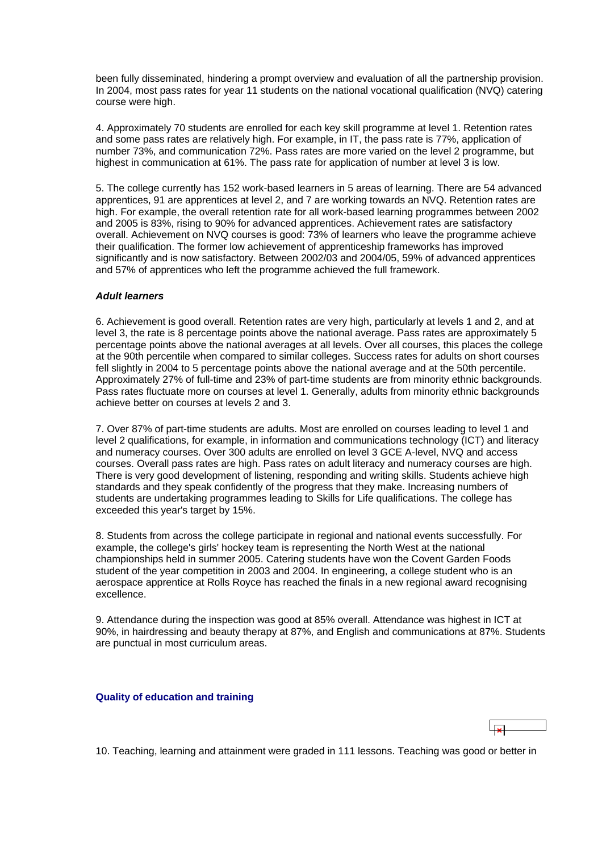<span id="page-9-0"></span>been fully disseminated, hindering a prompt overview and evaluation of all the partnership provision. In 2004, most pass rates for year 11 students on the national vocational qualification (NVQ) catering course were high.

4. Approximately 70 students are enrolled for each key skill programme at level 1. Retention rates and some pass rates are relatively high. For example, in IT, the pass rate is 77%, application of number 73%, and communication 72%. Pass rates are more varied on the level 2 programme, but highest in communication at 61%. The pass rate for application of number at level 3 is low.

5. The college currently has 152 work-based learners in 5 areas of learning. There are 54 advanced apprentices, 91 are apprentices at level 2, and 7 are working towards an NVQ. Retention rates are high. For example, the overall retention rate for all work-based learning programmes between 2002 and 2005 is 83%, rising to 90% for advanced apprentices. Achievement rates are satisfactory overall. Achievement on NVQ courses is good: 73% of learners who leave the programme achieve their qualification. The former low achievement of apprenticeship frameworks has improved significantly and is now satisfactory. Between 2002/03 and 2004/05, 59% of advanced apprentices and 57% of apprentices who left the programme achieved the full framework.

### *Adult learners*

6. Achievement is good overall. Retention rates are very high, particularly at levels 1 and 2, and at level 3, the rate is 8 percentage points above the national average. Pass rates are approximately 5 percentage points above the national averages at all levels. Over all courses, this places the college at the 90th percentile when compared to similar colleges. Success rates for adults on short courses fell slightly in 2004 to 5 percentage points above the national average and at the 50th percentile. Approximately 27% of full-time and 23% of part-time students are from minority ethnic backgrounds. Pass rates fluctuate more on courses at level 1. Generally, adults from minority ethnic backgrounds achieve better on courses at levels 2 and 3.

7. Over 87% of part-time students are adults. Most are enrolled on courses leading to level 1 and level 2 qualifications, for example, in information and communications technology (ICT) and literacy and numeracy courses. Over 300 adults are enrolled on level 3 GCE A-level, NVQ and access courses. Overall pass rates are high. Pass rates on adult literacy and numeracy courses are high. There is very good development of listening, responding and writing skills. Students achieve high standards and they speak confidently of the progress that they make. Increasing numbers of students are undertaking programmes leading to Skills for Life qualifications. The college has exceeded this year's target by 15%.

8. Students from across the college participate in regional and national events successfully. For example, the college's girls' hockey team is representing the North West at the national championships held in summer 2005. Catering students have won the Covent Garden Foods student of the year competition in 2003 and 2004. In engineering, a college student who is an aerospace apprentice at Rolls Royce has reached the finals in a new regional award recognising excellence.

9. Attendance during the inspection was good at 85% overall. Attendance was highest in ICT at 90%, in hairdressing and beauty therapy at 87%, and English and communications at 87%. Students are punctual in most curriculum areas.

### **Quality of education and training**

10. Teaching, learning and attainment were graded in 111 lessons. Teaching was good or better in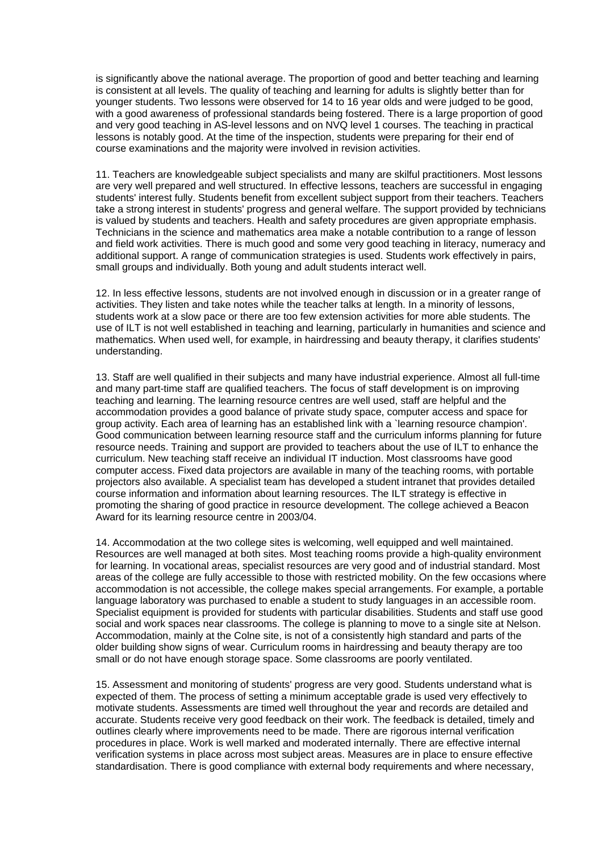is significantly above the national average. The proportion of good and better teaching and learning is consistent at all levels. The quality of teaching and learning for adults is slightly better than for younger students. Two lessons were observed for 14 to 16 year olds and were judged to be good, with a good awareness of professional standards being fostered. There is a large proportion of good and very good teaching in AS-level lessons and on NVQ level 1 courses. The teaching in practical lessons is notably good. At the time of the inspection, students were preparing for their end of course examinations and the majority were involved in revision activities.

11. Teachers are knowledgeable subject specialists and many are skilful practitioners. Most lessons are very well prepared and well structured. In effective lessons, teachers are successful in engaging students' interest fully. Students benefit from excellent subject support from their teachers. Teachers take a strong interest in students' progress and general welfare. The support provided by technicians is valued by students and teachers. Health and safety procedures are given appropriate emphasis. Technicians in the science and mathematics area make a notable contribution to a range of lesson and field work activities. There is much good and some very good teaching in literacy, numeracy and additional support. A range of communication strategies is used. Students work effectively in pairs, small groups and individually. Both young and adult students interact well.

12. In less effective lessons, students are not involved enough in discussion or in a greater range of activities. They listen and take notes while the teacher talks at length. In a minority of lessons, students work at a slow pace or there are too few extension activities for more able students. The use of ILT is not well established in teaching and learning, particularly in humanities and science and mathematics. When used well, for example, in hairdressing and beauty therapy, it clarifies students' understanding.

13. Staff are well qualified in their subjects and many have industrial experience. Almost all full-time and many part-time staff are qualified teachers. The focus of staff development is on improving teaching and learning. The learning resource centres are well used, staff are helpful and the accommodation provides a good balance of private study space, computer access and space for group activity. Each area of learning has an established link with a `learning resource champion'. Good communication between learning resource staff and the curriculum informs planning for future resource needs. Training and support are provided to teachers about the use of ILT to enhance the curriculum. New teaching staff receive an individual IT induction. Most classrooms have good computer access. Fixed data projectors are available in many of the teaching rooms, with portable projectors also available. A specialist team has developed a student intranet that provides detailed course information and information about learning resources. The ILT strategy is effective in promoting the sharing of good practice in resource development. The college achieved a Beacon Award for its learning resource centre in 2003/04.

14. Accommodation at the two college sites is welcoming, well equipped and well maintained. Resources are well managed at both sites. Most teaching rooms provide a high-quality environment for learning. In vocational areas, specialist resources are very good and of industrial standard. Most areas of the college are fully accessible to those with restricted mobility. On the few occasions where accommodation is not accessible, the college makes special arrangements. For example, a portable language laboratory was purchased to enable a student to study languages in an accessible room. Specialist equipment is provided for students with particular disabilities. Students and staff use good social and work spaces near classrooms. The college is planning to move to a single site at Nelson. Accommodation, mainly at the Colne site, is not of a consistently high standard and parts of the older building show signs of wear. Curriculum rooms in hairdressing and beauty therapy are too small or do not have enough storage space. Some classrooms are poorly ventilated.

15. Assessment and monitoring of students' progress are very good. Students understand what is expected of them. The process of setting a minimum acceptable grade is used very effectively to motivate students. Assessments are timed well throughout the year and records are detailed and accurate. Students receive very good feedback on their work. The feedback is detailed, timely and outlines clearly where improvements need to be made. There are rigorous internal verification procedures in place. Work is well marked and moderated internally. There are effective internal verification systems in place across most subject areas. Measures are in place to ensure effective standardisation. There is good compliance with external body requirements and where necessary,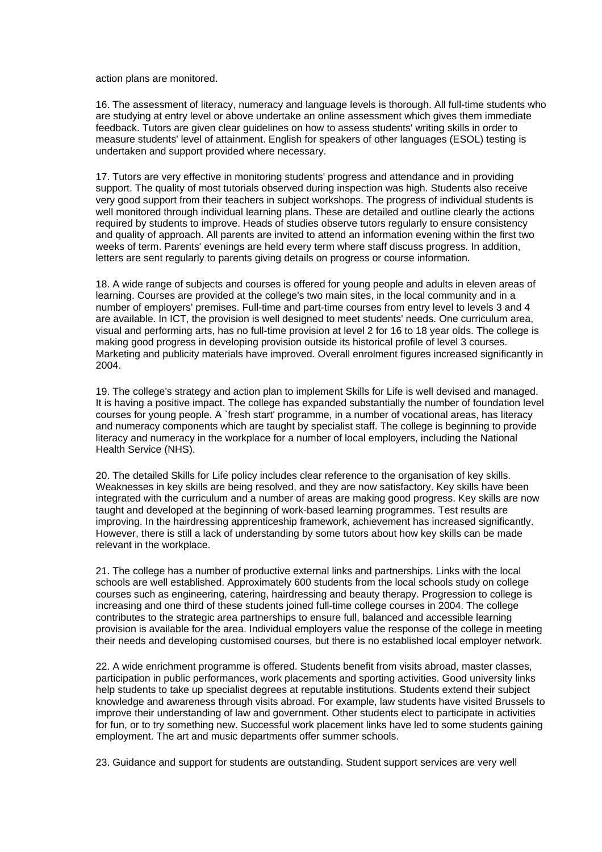action plans are monitored.

16. The assessment of literacy, numeracy and language levels is thorough. All full-time students who are studying at entry level or above undertake an online assessment which gives them immediate feedback. Tutors are given clear guidelines on how to assess students' writing skills in order to measure students' level of attainment. English for speakers of other languages (ESOL) testing is undertaken and support provided where necessary.

17. Tutors are very effective in monitoring students' progress and attendance and in providing support. The quality of most tutorials observed during inspection was high. Students also receive very good support from their teachers in subject workshops. The progress of individual students is well monitored through individual learning plans. These are detailed and outline clearly the actions required by students to improve. Heads of studies observe tutors regularly to ensure consistency and quality of approach. All parents are invited to attend an information evening within the first two weeks of term. Parents' evenings are held every term where staff discuss progress. In addition, letters are sent regularly to parents giving details on progress or course information.

18. A wide range of subjects and courses is offered for young people and adults in eleven areas of learning. Courses are provided at the college's two main sites, in the local community and in a number of employers' premises. Full-time and part-time courses from entry level to levels 3 and 4 are available. In ICT, the provision is well designed to meet students' needs. One curriculum area, visual and performing arts, has no full-time provision at level 2 for 16 to 18 year olds. The college is making good progress in developing provision outside its historical profile of level 3 courses. Marketing and publicity materials have improved. Overall enrolment figures increased significantly in 2004.

19. The college's strategy and action plan to implement Skills for Life is well devised and managed. It is having a positive impact. The college has expanded substantially the number of foundation level courses for young people. A `fresh start' programme, in a number of vocational areas, has literacy and numeracy components which are taught by specialist staff. The college is beginning to provide literacy and numeracy in the workplace for a number of local employers, including the National Health Service (NHS).

20. The detailed Skills for Life policy includes clear reference to the organisation of key skills. Weaknesses in key skills are being resolved, and they are now satisfactory. Key skills have been integrated with the curriculum and a number of areas are making good progress. Key skills are now taught and developed at the beginning of work-based learning programmes. Test results are improving. In the hairdressing apprenticeship framework, achievement has increased significantly. However, there is still a lack of understanding by some tutors about how key skills can be made relevant in the workplace.

21. The college has a number of productive external links and partnerships. Links with the local schools are well established. Approximately 600 students from the local schools study on college courses such as engineering, catering, hairdressing and beauty therapy. Progression to college is increasing and one third of these students joined full-time college courses in 2004. The college contributes to the strategic area partnerships to ensure full, balanced and accessible learning provision is available for the area. Individual employers value the response of the college in meeting their needs and developing customised courses, but there is no established local employer network.

22. A wide enrichment programme is offered. Students benefit from visits abroad, master classes, participation in public performances, work placements and sporting activities. Good university links help students to take up specialist degrees at reputable institutions. Students extend their subject knowledge and awareness through visits abroad. For example, law students have visited Brussels to improve their understanding of law and government. Other students elect to participate in activities for fun, or to try something new. Successful work placement links have led to some students gaining employment. The art and music departments offer summer schools.

23. Guidance and support for students are outstanding. Student support services are very well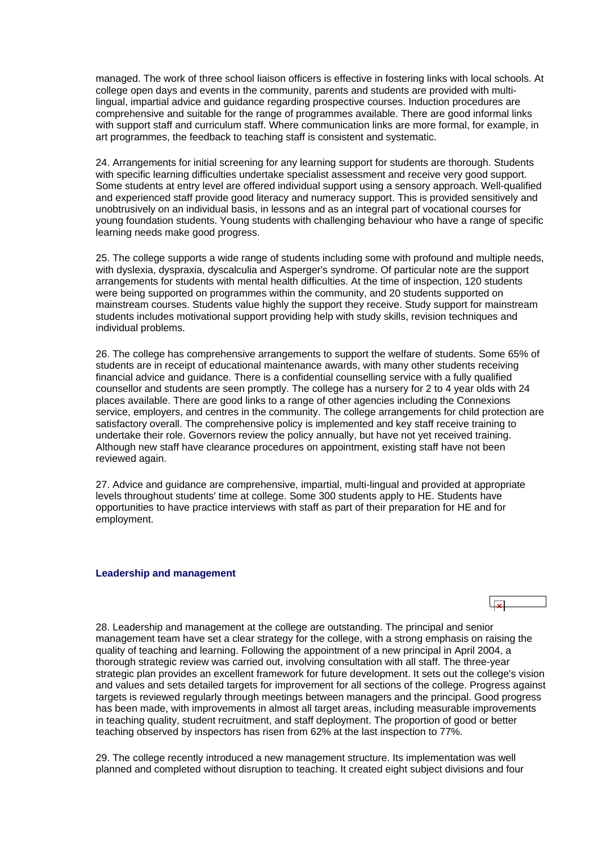<span id="page-12-0"></span>managed. The work of three school liaison officers is effective in fostering links with local schools. At college open days and events in the community, parents and students are provided with multilingual, impartial advice and guidance regarding prospective courses. Induction procedures are comprehensive and suitable for the range of programmes available. There are good informal links with support staff and curriculum staff. Where communication links are more formal, for example, in art programmes, the feedback to teaching staff is consistent and systematic.

24. Arrangements for initial screening for any learning support for students are thorough. Students with specific learning difficulties undertake specialist assessment and receive very good support. Some students at entry level are offered individual support using a sensory approach. Well-qualified and experienced staff provide good literacy and numeracy support. This is provided sensitively and unobtrusively on an individual basis, in lessons and as an integral part of vocational courses for young foundation students. Young students with challenging behaviour who have a range of specific learning needs make good progress.

25. The college supports a wide range of students including some with profound and multiple needs, with dyslexia, dyspraxia, dyscalculia and Asperger's syndrome. Of particular note are the support arrangements for students with mental health difficulties. At the time of inspection, 120 students were being supported on programmes within the community, and 20 students supported on mainstream courses. Students value highly the support they receive. Study support for mainstream students includes motivational support providing help with study skills, revision techniques and individual problems.

26. The college has comprehensive arrangements to support the welfare of students. Some 65% of students are in receipt of educational maintenance awards, with many other students receiving financial advice and guidance. There is a confidential counselling service with a fully qualified counsellor and students are seen promptly. The college has a nursery for 2 to 4 year olds with 24 places available. There are good links to a range of other agencies including the Connexions service, employers, and centres in the community. The college arrangements for child protection are satisfactory overall. The comprehensive policy is implemented and key staff receive training to undertake their role. Governors review the policy annually, but have not yet received training. Although new staff have clearance procedures on appointment, existing staff have not been reviewed again.

27. Advice and guidance are comprehensive, impartial, multi-lingual and provided at appropriate levels throughout students' time at college. Some 300 students apply to HE. Students have opportunities to have practice interviews with staff as part of their preparation for HE and for employment.

### **Leadership and management**

28. Leadership and management at the college are outstanding. The principal and senior management team have set a clear strategy for the college, with a strong emphasis on raising the quality of teaching and learning. Following the appointment of a new principal in April 2004, a thorough strategic review was carried out, involving consultation with all staff. The three-year strategic plan provides an excellent framework for future development. It sets out the college's vision and values and sets detailed targets for improvement for all sections of the college. Progress against targets is reviewed regularly through meetings between managers and the principal. Good progress has been made, with improvements in almost all target areas, including measurable improvements in teaching quality, student recruitment, and staff deployment. The proportion of good or better teaching observed by inspectors has risen from 62% at the last inspection to 77%.

29. The college recently introduced a new management structure. Its implementation was well planned and completed without disruption to teaching. It created eight subject divisions and four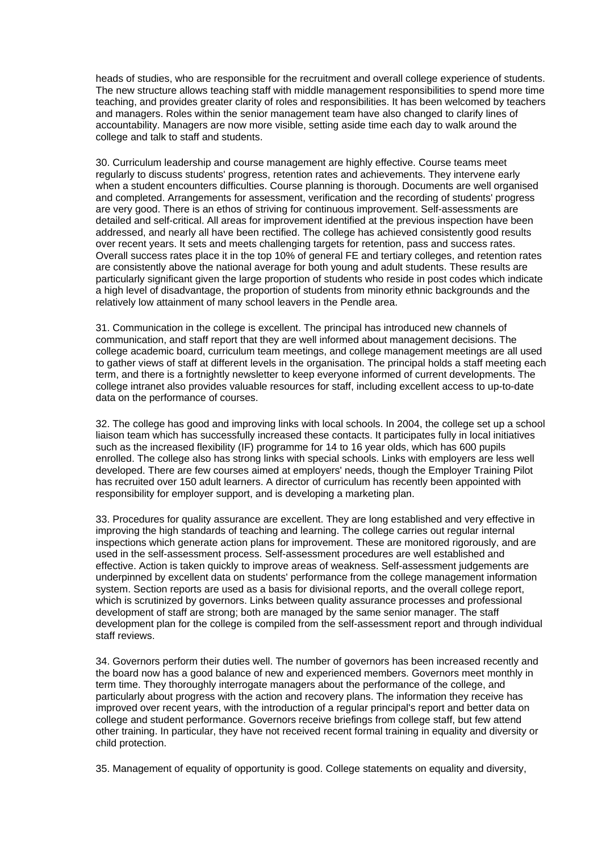heads of studies, who are responsible for the recruitment and overall college experience of students. The new structure allows teaching staff with middle management responsibilities to spend more time teaching, and provides greater clarity of roles and responsibilities. It has been welcomed by teachers and managers. Roles within the senior management team have also changed to clarify lines of accountability. Managers are now more visible, setting aside time each day to walk around the college and talk to staff and students.

30. Curriculum leadership and course management are highly effective. Course teams meet regularly to discuss students' progress, retention rates and achievements. They intervene early when a student encounters difficulties. Course planning is thorough. Documents are well organised and completed. Arrangements for assessment, verification and the recording of students' progress are very good. There is an ethos of striving for continuous improvement. Self-assessments are detailed and self-critical. All areas for improvement identified at the previous inspection have been addressed, and nearly all have been rectified. The college has achieved consistently good results over recent years. It sets and meets challenging targets for retention, pass and success rates. Overall success rates place it in the top 10% of general FE and tertiary colleges, and retention rates are consistently above the national average for both young and adult students. These results are particularly significant given the large proportion of students who reside in post codes which indicate a high level of disadvantage, the proportion of students from minority ethnic backgrounds and the relatively low attainment of many school leavers in the Pendle area.

31. Communication in the college is excellent. The principal has introduced new channels of communication, and staff report that they are well informed about management decisions. The college academic board, curriculum team meetings, and college management meetings are all used to gather views of staff at different levels in the organisation. The principal holds a staff meeting each term, and there is a fortnightly newsletter to keep everyone informed of current developments. The college intranet also provides valuable resources for staff, including excellent access to up-to-date data on the performance of courses.

32. The college has good and improving links with local schools. In 2004, the college set up a school liaison team which has successfully increased these contacts. It participates fully in local initiatives such as the increased flexibility (IF) programme for 14 to 16 year olds, which has 600 pupils enrolled. The college also has strong links with special schools. Links with employers are less well developed. There are few courses aimed at employers' needs, though the Employer Training Pilot has recruited over 150 adult learners. A director of curriculum has recently been appointed with responsibility for employer support, and is developing a marketing plan.

33. Procedures for quality assurance are excellent. They are long established and very effective in improving the high standards of teaching and learning. The college carries out regular internal inspections which generate action plans for improvement. These are monitored rigorously, and are used in the self-assessment process. Self-assessment procedures are well established and effective. Action is taken quickly to improve areas of weakness. Self-assessment judgements are underpinned by excellent data on students' performance from the college management information system. Section reports are used as a basis for divisional reports, and the overall college report, which is scrutinized by governors. Links between quality assurance processes and professional development of staff are strong; both are managed by the same senior manager. The staff development plan for the college is compiled from the self-assessment report and through individual staff reviews.

34. Governors perform their duties well. The number of governors has been increased recently and the board now has a good balance of new and experienced members. Governors meet monthly in term time. They thoroughly interrogate managers about the performance of the college, and particularly about progress with the action and recovery plans. The information they receive has improved over recent years, with the introduction of a regular principal's report and better data on college and student performance. Governors receive briefings from college staff, but few attend other training. In particular, they have not received recent formal training in equality and diversity or child protection.

35. Management of equality of opportunity is good. College statements on equality and diversity,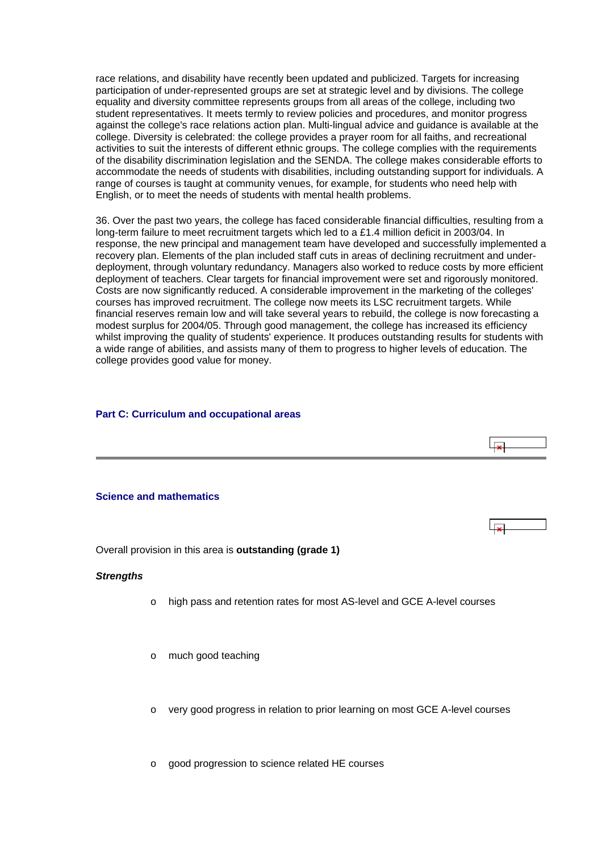<span id="page-14-0"></span>race relations, and disability have recently been updated and publicized. Targets for increasing participation of under-represented groups are set at strategic level and by divisions. The college equality and diversity committee represents groups from all areas of the college, including two student representatives. It meets termly to review policies and procedures, and monitor progress against the college's race relations action plan. Multi-lingual advice and guidance is available at the college. Diversity is celebrated: the college provides a prayer room for all faiths, and recreational activities to suit the interests of different ethnic groups. The college complies with the requirements of the disability discrimination legislation and the SENDA. The college makes considerable efforts to accommodate the needs of students with disabilities, including outstanding support for individuals. A range of courses is taught at community venues, for example, for students who need help with English, or to meet the needs of students with mental health problems.

36. Over the past two years, the college has faced considerable financial difficulties, resulting from a long-term failure to meet recruitment targets which led to a £1.4 million deficit in 2003/04. In response, the new principal and management team have developed and successfully implemented a recovery plan. Elements of the plan included staff cuts in areas of declining recruitment and underdeployment, through voluntary redundancy. Managers also worked to reduce costs by more efficient deployment of teachers. Clear targets for financial improvement were set and rigorously monitored. Costs are now significantly reduced. A considerable improvement in the marketing of the colleges' courses has improved recruitment. The college now meets its LSC recruitment targets. While financial reserves remain low and will take several years to rebuild, the college is now forecasting a modest surplus for 2004/05. Through good management, the college has increased its efficiency whilst improving the quality of students' experience. It produces outstanding results for students with a wide range of abilities, and assists many of them to progress to higher levels of education. The college provides good value for money.

### **Part C: Curriculum and occupational areas**



Overall provision in this area is **outstanding (grade 1)**

### *Strengths*

o high pass and retention rates for most AS-level and GCE A-level courses

 $\overline{1}$ 

- o much good teaching
- o very good progress in relation to prior learning on most GCE A-level courses

o good progression to science related HE courses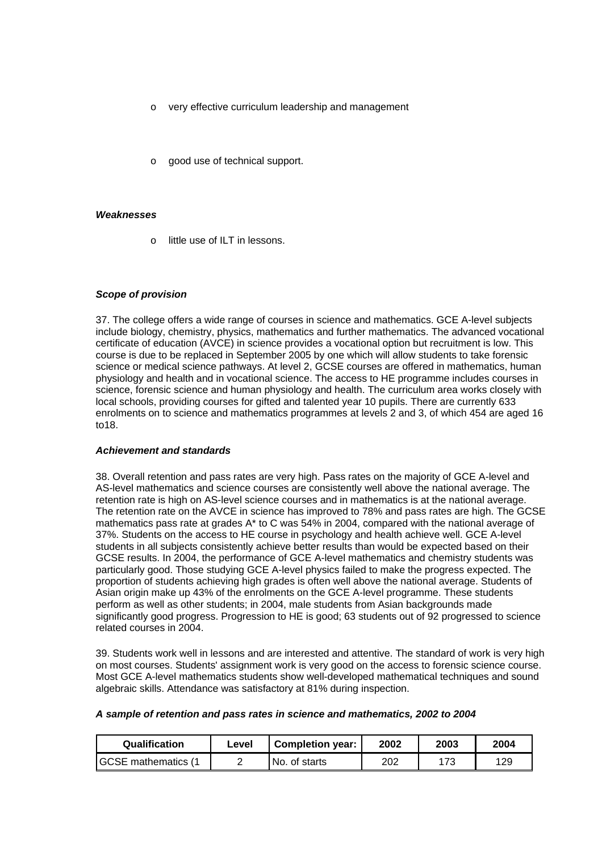- o very effective curriculum leadership and management
- good use of technical support.

#### *Weaknesses*

o little use of ILT in lessons.

### *Scope of provision*

37. The college offers a wide range of courses in science and mathematics. GCE A-level subjects include biology, chemistry, physics, mathematics and further mathematics. The advanced vocational certificate of education (AVCE) in science provides a vocational option but recruitment is low. This course is due to be replaced in September 2005 by one which will allow students to take forensic science or medical science pathways. At level 2, GCSE courses are offered in mathematics, human physiology and health and in vocational science. The access to HE programme includes courses in science, forensic science and human physiology and health. The curriculum area works closely with local schools, providing courses for gifted and talented year 10 pupils. There are currently 633 enrolments on to science and mathematics programmes at levels 2 and 3, of which 454 are aged 16 to18.

#### *Achievement and standards*

38. Overall retention and pass rates are very high. Pass rates on the majority of GCE A-level and AS-level mathematics and science courses are consistently well above the national average. The retention rate is high on AS-level science courses and in mathematics is at the national average. The retention rate on the AVCE in science has improved to 78% and pass rates are high. The GCSE mathematics pass rate at grades A\* to C was 54% in 2004, compared with the national average of 37%. Students on the access to HE course in psychology and health achieve well. GCE A-level students in all subjects consistently achieve better results than would be expected based on their GCSE results. In 2004, the performance of GCE A-level mathematics and chemistry students was particularly good. Those studying GCE A-level physics failed to make the progress expected. The proportion of students achieving high grades is often well above the national average. Students of Asian origin make up 43% of the enrolments on the GCE A-level programme. These students perform as well as other students; in 2004, male students from Asian backgrounds made significantly good progress. Progression to HE is good; 63 students out of 92 progressed to science related courses in 2004.

39. Students work well in lessons and are interested and attentive. The standard of work is very high on most courses. Students' assignment work is very good on the access to forensic science course. Most GCE A-level mathematics students show well-developed mathematical techniques and sound algebraic skills. Attendance was satisfactory at 81% during inspection.

| A sample of retention and pass rates in science and mathematics, 2002 to 2004 |  |
|-------------------------------------------------------------------------------|--|
|-------------------------------------------------------------------------------|--|

| Qualification              | Level | <b>Completion year:</b> | 2002 | 2003 | 2004 |
|----------------------------|-------|-------------------------|------|------|------|
| <b>IGCSE</b> mathematics ( |       | No. of starts           | 202  | 173  | 129  |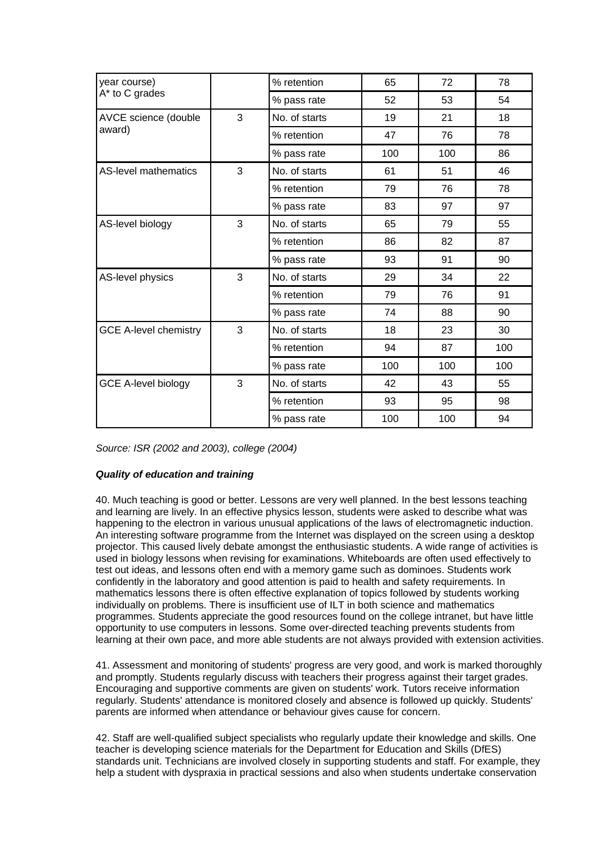| year course)                 |   | % retention   | 65  | 72  | 78  |
|------------------------------|---|---------------|-----|-----|-----|
| A* to C grades               |   | % pass rate   | 52  | 53  | 54  |
| AVCE science (double         | 3 | No. of starts | 19  | 21  | 18  |
| award)                       |   | % retention   | 47  | 76  | 78  |
|                              |   | % pass rate   | 100 | 100 | 86  |
| <b>AS-level mathematics</b>  | 3 | No. of starts | 61  | 51  | 46  |
|                              |   | % retention   | 79  | 76  | 78  |
|                              |   | % pass rate   | 83  | 97  | 97  |
| AS-level biology             | 3 | No. of starts | 65  | 79  | 55  |
|                              |   | % retention   | 86  | 82  | 87  |
|                              |   | % pass rate   | 93  | 91  | 90  |
| AS-level physics             | 3 | No. of starts | 29  | 34  | 22  |
|                              |   | % retention   | 79  | 76  | 91  |
|                              |   | % pass rate   | 74  | 88  | 90  |
| <b>GCE A-level chemistry</b> | 3 | No. of starts | 18  | 23  | 30  |
|                              |   | % retention   | 94  | 87  | 100 |
|                              |   | % pass rate   | 100 | 100 | 100 |
| <b>GCE A-level biology</b>   | 3 | No. of starts | 42  | 43  | 55  |
|                              |   | % retention   | 93  | 95  | 98  |
|                              |   | % pass rate   | 100 | 100 | 94  |

*Source: ISR (2002 and 2003), college (2004)*

### *Quality of education and training*

40. Much teaching is good or better. Lessons are very well planned. In the best lessons teaching and learning are lively. In an effective physics lesson, students were asked to describe what was happening to the electron in various unusual applications of the laws of electromagnetic induction. An interesting software programme from the Internet was displayed on the screen using a desktop projector. This caused lively debate amongst the enthusiastic students. A wide range of activities is used in biology lessons when revising for examinations. Whiteboards are often used effectively to test out ideas, and lessons often end with a memory game such as dominoes. Students work confidently in the laboratory and good attention is paid to health and safety requirements. In mathematics lessons there is often effective explanation of topics followed by students working individually on problems. There is insufficient use of ILT in both science and mathematics programmes. Students appreciate the good resources found on the college intranet, but have little opportunity to use computers in lessons. Some over-directed teaching prevents students from learning at their own pace, and more able students are not always provided with extension activities.

41. Assessment and monitoring of students' progress are very good, and work is marked thoroughly and promptly. Students regularly discuss with teachers their progress against their target grades. Encouraging and supportive comments are given on students' work. Tutors receive information regularly. Students' attendance is monitored closely and absence is followed up quickly. Students' parents are informed when attendance or behaviour gives cause for concern.

42. Staff are well-qualified subject specialists who regularly update their knowledge and skills. One teacher is developing science materials for the Department for Education and Skills (DfES) standards unit. Technicians are involved closely in supporting students and staff. For example, they help a student with dyspraxia in practical sessions and also when students undertake conservation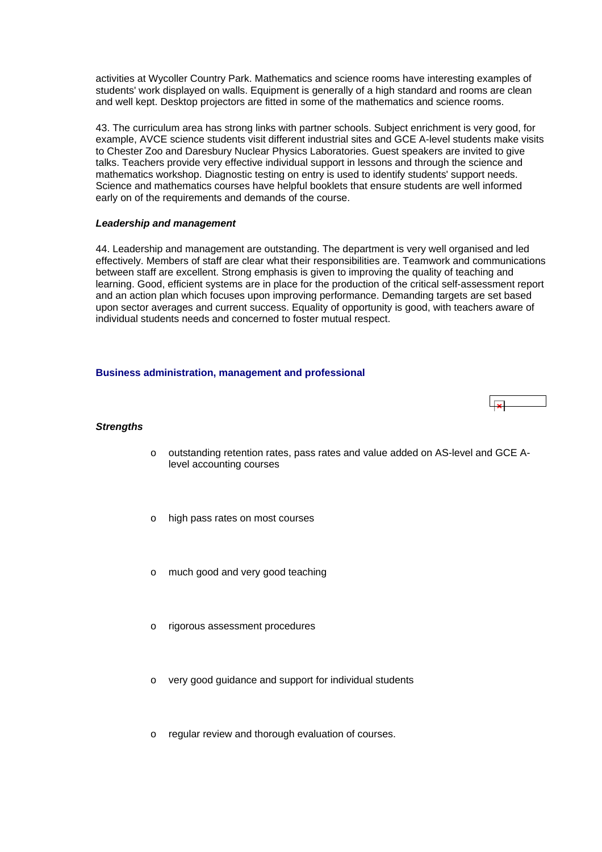<span id="page-17-0"></span>activities at Wycoller Country Park. Mathematics and science rooms have interesting examples of students' work displayed on walls. Equipment is generally of a high standard and rooms are clean and well kept. Desktop projectors are fitted in some of the mathematics and science rooms.

43. The curriculum area has strong links with partner schools. Subject enrichment is very good, for example, AVCE science students visit different industrial sites and GCE A-level students make visits to Chester Zoo and Daresbury Nuclear Physics Laboratories. Guest speakers are invited to give talks. Teachers provide very effective individual support in lessons and through the science and mathematics workshop. Diagnostic testing on entry is used to identify students' support needs. Science and mathematics courses have helpful booklets that ensure students are well informed early on of the requirements and demands of the course.

### *Leadership and management*

44. Leadership and management are outstanding. The department is very well organised and led effectively. Members of staff are clear what their responsibilities are. Teamwork and communications between staff are excellent. Strong emphasis is given to improving the quality of teaching and learning. Good, efficient systems are in place for the production of the critical self-assessment report and an action plan which focuses upon improving performance. Demanding targets are set based upon sector averages and current success. Equality of opportunity is good, with teachers aware of individual students needs and concerned to foster mutual respect.

### **Business administration, management and professional**



### *Strengths*

- o outstanding retention rates, pass rates and value added on AS-level and GCE Alevel accounting courses
- high pass rates on most courses
- much good and very good teaching
- o rigorous assessment procedures
- very good guidance and support for individual students
- o regular review and thorough evaluation of courses.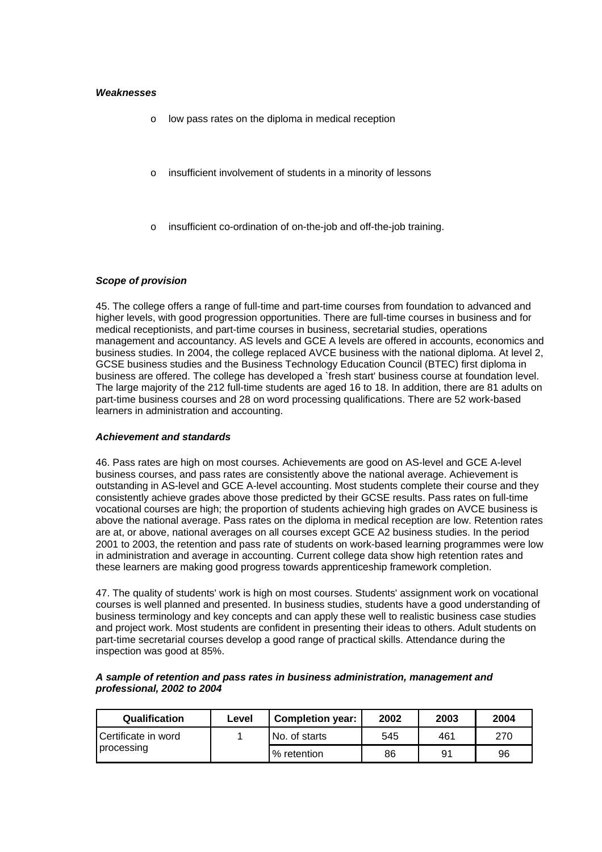### *Weaknesses*

- o low pass rates on the diploma in medical reception
- insufficient involvement of students in a minority of lessons
- insufficient co-ordination of on-the-job and off-the-job training.

### *Scope of provision*

45. The college offers a range of full-time and part-time courses from foundation to advanced and higher levels, with good progression opportunities. There are full-time courses in business and for medical receptionists, and part-time courses in business, secretarial studies, operations management and accountancy. AS levels and GCE A levels are offered in accounts, economics and business studies. In 2004, the college replaced AVCE business with the national diploma. At level 2, GCSE business studies and the Business Technology Education Council (BTEC) first diploma in business are offered. The college has developed a `fresh start' business course at foundation level. The large majority of the 212 full-time students are aged 16 to 18. In addition, there are 81 adults on part-time business courses and 28 on word processing qualifications. There are 52 work-based learners in administration and accounting.

### *Achievement and standards*

46. Pass rates are high on most courses. Achievements are good on AS-level and GCE A-level business courses, and pass rates are consistently above the national average. Achievement is outstanding in AS-level and GCE A-level accounting. Most students complete their course and they consistently achieve grades above those predicted by their GCSE results. Pass rates on full-time vocational courses are high; the proportion of students achieving high grades on AVCE business is above the national average. Pass rates on the diploma in medical reception are low. Retention rates are at, or above, national averages on all courses except GCE A2 business studies. In the period 2001 to 2003, the retention and pass rate of students on work-based learning programmes were low in administration and average in accounting. Current college data show high retention rates and these learners are making good progress towards apprenticeship framework completion.

47. The quality of students' work is high on most courses. Students' assignment work on vocational courses is well planned and presented. In business studies, students have a good understanding of business terminology and key concepts and can apply these well to realistic business case studies and project work. Most students are confident in presenting their ideas to others. Adult students on part-time secretarial courses develop a good range of practical skills. Attendance during the inspection was good at 85%.

| <b>Qualification</b>  | Level | <b>Completion year:</b> | 2002 | 2003 | 2004 |
|-----------------------|-------|-------------------------|------|------|------|
| l Certificate in word |       | No. of starts           | 545  | 461  | 270  |
| processing            |       | % retention             | 86   | 91   | 96   |

### *A sample of retention and pass rates in business administration, management and professional, 2002 to 2004*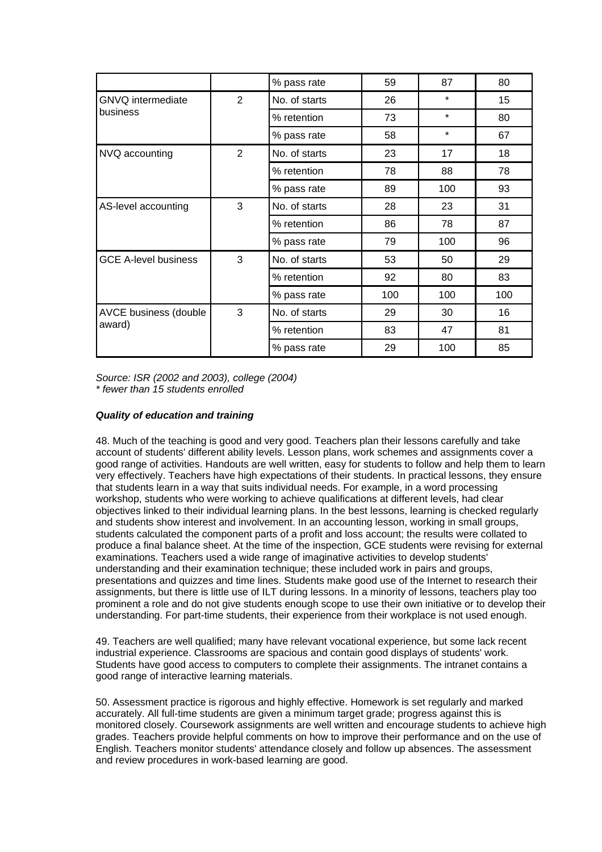|                                 |                | % pass rate   | 59  | 87      | 80  |
|---------------------------------|----------------|---------------|-----|---------|-----|
| GNVQ intermediate               | $\overline{2}$ | No. of starts | 26  | $\star$ | 15  |
| business                        |                | % retention   | 73  | $\star$ | 80  |
|                                 |                | % pass rate   | 58  | $\star$ | 67  |
| NVQ accounting                  | 2              | No. of starts | 23  | 17      | 18  |
|                                 |                | % retention   | 78  | 88      | 78  |
|                                 |                | % pass rate   | 89  | 100     | 93  |
| AS-level accounting             | 3              | No. of starts | 28  | 23      | 31  |
|                                 |                | % retention   | 86  | 78      | 87  |
|                                 |                | % pass rate   | 79  | 100     | 96  |
| <b>GCE A-level business</b>     | 3              | No. of starts | 53  | 50      | 29  |
|                                 |                | % retention   | 92  | 80      | 83  |
|                                 |                | % pass rate   | 100 | 100     | 100 |
| AVCE business (double<br>award) | 3              | No. of starts | 29  | 30      | 16  |
|                                 |                | % retention   | 83  | 47      | 81  |
|                                 |                | % pass rate   | 29  | 100     | 85  |

*Source: ISR (2002 and 2003), college (2004) \* fewer than 15 students enrolled*

### *Quality of education and training*

48. Much of the teaching is good and very good. Teachers plan their lessons carefully and take account of students' different ability levels. Lesson plans, work schemes and assignments cover a good range of activities. Handouts are well written, easy for students to follow and help them to learn very effectively. Teachers have high expectations of their students. In practical lessons, they ensure that students learn in a way that suits individual needs. For example, in a word processing workshop, students who were working to achieve qualifications at different levels, had clear objectives linked to their individual learning plans. In the best lessons, learning is checked regularly and students show interest and involvement. In an accounting lesson, working in small groups, students calculated the component parts of a profit and loss account; the results were collated to produce a final balance sheet. At the time of the inspection, GCE students were revising for external examinations. Teachers used a wide range of imaginative activities to develop students' understanding and their examination technique; these included work in pairs and groups, presentations and quizzes and time lines. Students make good use of the Internet to research their assignments, but there is little use of ILT during lessons. In a minority of lessons, teachers play too prominent a role and do not give students enough scope to use their own initiative or to develop their understanding. For part-time students, their experience from their workplace is not used enough.

49. Teachers are well qualified; many have relevant vocational experience, but some lack recent industrial experience. Classrooms are spacious and contain good displays of students' work. Students have good access to computers to complete their assignments. The intranet contains a good range of interactive learning materials.

50. Assessment practice is rigorous and highly effective. Homework is set regularly and marked accurately. All full-time students are given a minimum target grade; progress against this is monitored closely. Coursework assignments are well written and encourage students to achieve high grades. Teachers provide helpful comments on how to improve their performance and on the use of English. Teachers monitor students' attendance closely and follow up absences. The assessment and review procedures in work-based learning are good.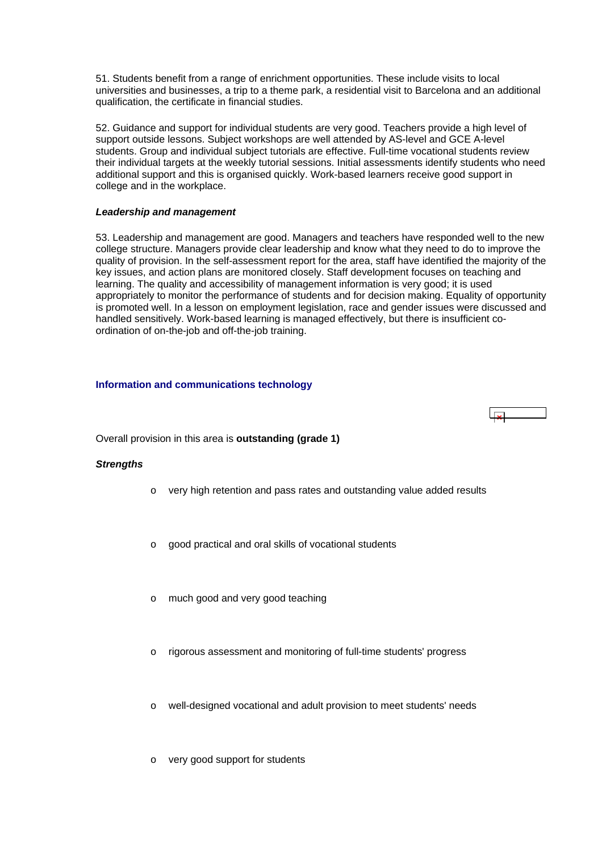<span id="page-20-0"></span>51. Students benefit from a range of enrichment opportunities. These include visits to local universities and businesses, a trip to a theme park, a residential visit to Barcelona and an additional qualification, the certificate in financial studies.

52. Guidance and support for individual students are very good. Teachers provide a high level of support outside lessons. Subject workshops are well attended by AS-level and GCE A-level students. Group and individual subject tutorials are effective. Full-time vocational students review their individual targets at the weekly tutorial sessions. Initial assessments identify students who need additional support and this is organised quickly. Work-based learners receive good support in college and in the workplace.

### *Leadership and management*

53. Leadership and management are good. Managers and teachers have responded well to the new college structure. Managers provide clear leadership and know what they need to do to improve the quality of provision. In the self-assessment report for the area, staff have identified the majority of the key issues, and action plans are monitored closely. Staff development focuses on teaching and learning. The quality and accessibility of management information is very good; it is used appropriately to monitor the performance of students and for decision making. Equality of opportunity is promoted well. In a lesson on employment legislation, race and gender issues were discussed and handled sensitively. Work-based learning is managed effectively, but there is insufficient coordination of on-the-job and off-the-job training.

### **Information and communications technology**



Overall provision in this area is **outstanding (grade 1)**

### *Strengths*

- o very high retention and pass rates and outstanding value added results
- good practical and oral skills of vocational students
- much good and very good teaching
- rigorous assessment and monitoring of full-time students' progress
- well-designed vocational and adult provision to meet students' needs
- o very good support for students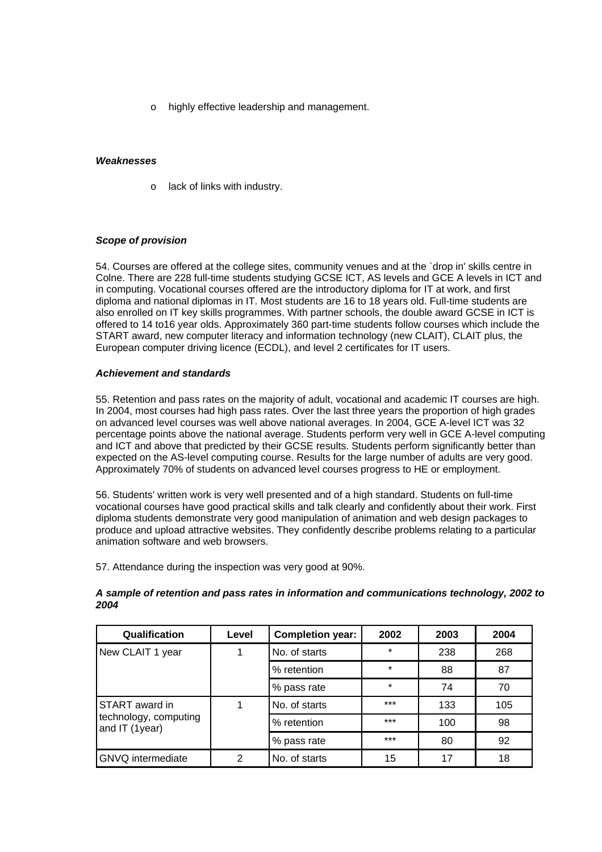o highly effective leadership and management.

### *Weaknesses*

o lack of links with industry.

### *Scope of provision*

54. Courses are offered at the college sites, community venues and at the `drop in' skills centre in Colne. There are 228 full-time students studying GCSE ICT, AS levels and GCE A levels in ICT and in computing. Vocational courses offered are the introductory diploma for IT at work, and first diploma and national diplomas in IT. Most students are 16 to 18 years old. Full-time students are also enrolled on IT key skills programmes. With partner schools, the double award GCSE in ICT is offered to 14 to16 year olds. Approximately 360 part-time students follow courses which include the START award, new computer literacy and information technology (new CLAIT), CLAIT plus, the European computer driving licence (ECDL), and level 2 certificates for IT users.

### *Achievement and standards*

55. Retention and pass rates on the majority of adult, vocational and academic IT courses are high. In 2004, most courses had high pass rates. Over the last three years the proportion of high grades on advanced level courses was well above national averages. In 2004, GCE A-level ICT was 32 percentage points above the national average. Students perform very well in GCE A-level computing and ICT and above that predicted by their GCSE results. Students perform significantly better than expected on the AS-level computing course. Results for the large number of adults are very good. Approximately 70% of students on advanced level courses progress to HE or employment.

56. Students' written work is very well presented and of a high standard. Students on full-time vocational courses have good practical skills and talk clearly and confidently about their work. First diploma students demonstrate very good manipulation of animation and web design packages to produce and upload attractive websites. They confidently describe problems relating to a particular animation software and web browsers.

57. Attendance during the inspection was very good at 90%.

| Qualification                           | Level | <b>Completion year:</b> | 2002    | 2003 | 2004 |
|-----------------------------------------|-------|-------------------------|---------|------|------|
| New CLAIT 1 year                        | 1     | No. of starts           | $\star$ | 238  | 268  |
|                                         |       | % retention             | $\star$ | 88   | 87   |
|                                         |       | % pass rate             | $\star$ | 74   | 70   |
| START award in                          | 1     | No. of starts           | $***$   | 133  | 105  |
| technology, computing<br>and IT (1year) |       | % retention             | $***$   | 100  | 98   |
|                                         |       | % pass rate             | $***$   | 80   | 92   |
| <b>GNVQ</b> intermediate                | 2     | No. of starts           | 15      | 17   | 18   |

### *A sample of retention and pass rates in information and communications technology, 2002 to 2004*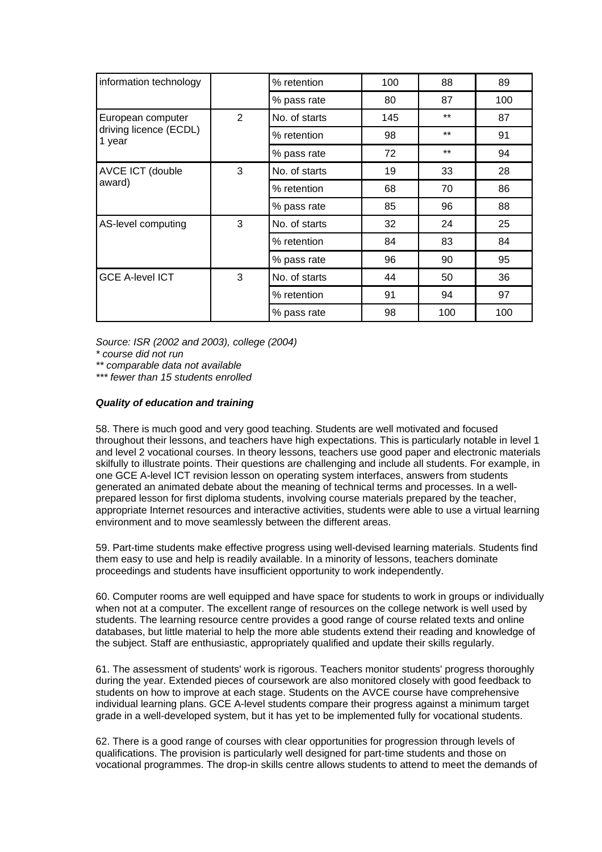| information technology           |   | % retention   | 100 | 88    | 89  |
|----------------------------------|---|---------------|-----|-------|-----|
|                                  |   | % pass rate   | 80  | 87    | 100 |
| European computer                | 2 | No. of starts | 145 | $***$ | 87  |
| driving licence (ECDL)<br>1 year |   | % retention   | 98  | $***$ | 91  |
|                                  |   | % pass rate   | 72  | $***$ | 94  |
| AVCE ICT (double                 | 3 | No. of starts | 19  | 33    | 28  |
| award)                           |   | % retention   | 68  | 70    | 86  |
|                                  |   | % pass rate   | 85  | 96    | 88  |
| AS-level computing               | 3 | No. of starts | 32  | 24    | 25  |
|                                  |   | % retention   | 84  | 83    | 84  |
|                                  |   | % pass rate   | 96  | 90    | 95  |
| <b>GCE A-level ICT</b>           | 3 | No. of starts | 44  | 50    | 36  |
|                                  |   | % retention   | 91  | 94    | 97  |
|                                  |   | % pass rate   | 98  | 100   | 100 |

*Source: ISR (2002 and 2003), college (2004)* 

*\* course did not run* 

*\*\* comparable data not available* 

*\*\*\* fewer than 15 students enrolled*

### *Quality of education and training*

58. There is much good and very good teaching. Students are well motivated and focused throughout their lessons, and teachers have high expectations. This is particularly notable in level 1 and level 2 vocational courses. In theory lessons, teachers use good paper and electronic materials skilfully to illustrate points. Their questions are challenging and include all students. For example, in one GCE A-level ICT revision lesson on operating system interfaces, answers from students generated an animated debate about the meaning of technical terms and processes. In a wellprepared lesson for first diploma students, involving course materials prepared by the teacher, appropriate Internet resources and interactive activities, students were able to use a virtual learning environment and to move seamlessly between the different areas.

59. Part-time students make effective progress using well-devised learning materials. Students find them easy to use and help is readily available. In a minority of lessons, teachers dominate proceedings and students have insufficient opportunity to work independently.

60. Computer rooms are well equipped and have space for students to work in groups or individually when not at a computer. The excellent range of resources on the college network is well used by students. The learning resource centre provides a good range of course related texts and online databases, but little material to help the more able students extend their reading and knowledge of the subject. Staff are enthusiastic, appropriately qualified and update their skills regularly.

61. The assessment of students' work is rigorous. Teachers monitor students' progress thoroughly during the year. Extended pieces of coursework are also monitored closely with good feedback to students on how to improve at each stage. Students on the AVCE course have comprehensive individual learning plans. GCE A-level students compare their progress against a minimum target grade in a well-developed system, but it has yet to be implemented fully for vocational students.

62. There is a good range of courses with clear opportunities for progression through levels of qualifications. The provision is particularly well designed for part-time students and those on vocational programmes. The drop-in skills centre allows students to attend to meet the demands of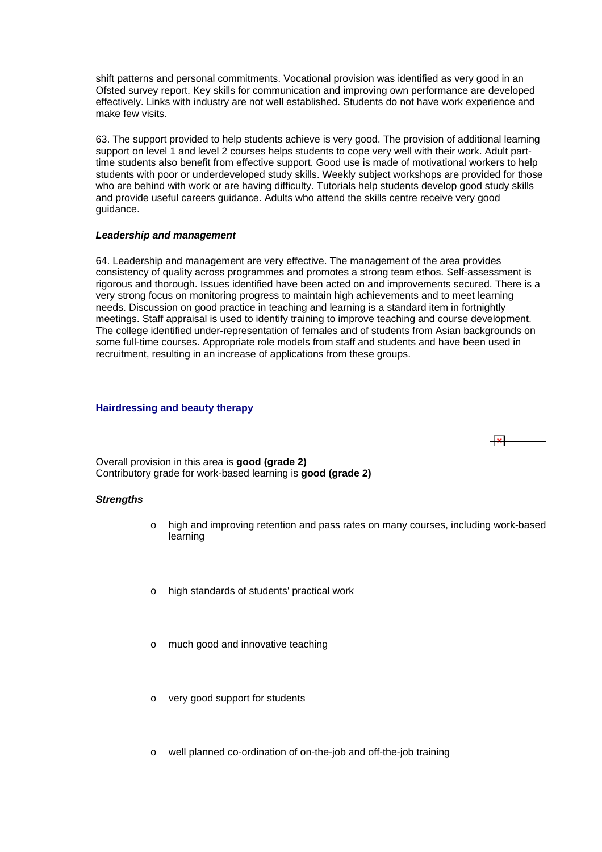<span id="page-23-0"></span>shift patterns and personal commitments. Vocational provision was identified as very good in an Ofsted survey report. Key skills for communication and improving own performance are developed effectively. Links with industry are not well established. Students do not have work experience and make few visits.

63. The support provided to help students achieve is very good. The provision of additional learning support on level 1 and level 2 courses helps students to cope very well with their work. Adult parttime students also benefit from effective support. Good use is made of motivational workers to help students with poor or underdeveloped study skills. Weekly subject workshops are provided for those who are behind with work or are having difficulty. Tutorials help students develop good study skills and provide useful careers guidance. Adults who attend the skills centre receive very good guidance.

### *Leadership and management*

64. Leadership and management are very effective. The management of the area provides consistency of quality across programmes and promotes a strong team ethos. Self-assessment is rigorous and thorough. Issues identified have been acted on and improvements secured. There is a very strong focus on monitoring progress to maintain high achievements and to meet learning needs. Discussion on good practice in teaching and learning is a standard item in fortnightly meetings. Staff appraisal is used to identify training to improve teaching and course development. The college identified under-representation of females and of students from Asian backgrounds on some full-time courses. Appropriate role models from staff and students and have been used in recruitment, resulting in an increase of applications from these groups.

### **Hairdressing and beauty therapy**



Overall provision in this area is **good (grade 2)** Contributory grade for work-based learning is **good (grade 2)**

### *Strengths*

- o high and improving retention and pass rates on many courses, including work-based learning
- o high standards of students' practical work
- o much good and innovative teaching
- o very good support for students
- o well planned co-ordination of on-the-job and off-the-job training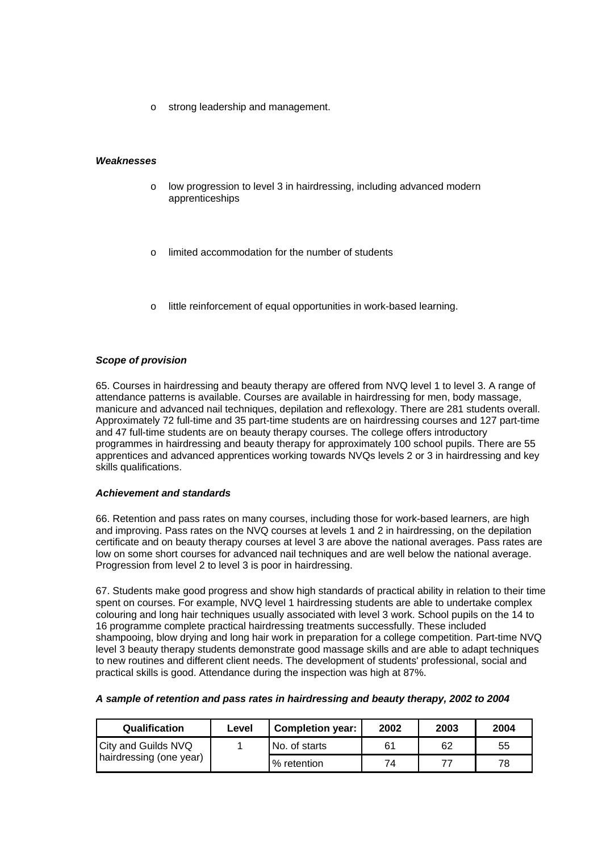o strong leadership and management.

### *Weaknesses*

- o low progression to level 3 in hairdressing, including advanced modern apprenticeships
- limited accommodation for the number of students
- o little reinforcement of equal opportunities in work-based learning.

### *Scope of provision*

65. Courses in hairdressing and beauty therapy are offered from NVQ level 1 to level 3. A range of attendance patterns is available. Courses are available in hairdressing for men, body massage, manicure and advanced nail techniques, depilation and reflexology. There are 281 students overall. Approximately 72 full-time and 35 part-time students are on hairdressing courses and 127 part-time and 47 full-time students are on beauty therapy courses. The college offers introductory programmes in hairdressing and beauty therapy for approximately 100 school pupils. There are 55 apprentices and advanced apprentices working towards NVQs levels 2 or 3 in hairdressing and key skills qualifications.

#### *Achievement and standards*

66. Retention and pass rates on many courses, including those for work-based learners, are high and improving. Pass rates on the NVQ courses at levels 1 and 2 in hairdressing, on the depilation certificate and on beauty therapy courses at level 3 are above the national averages. Pass rates are low on some short courses for advanced nail techniques and are well below the national average. Progression from level 2 to level 3 is poor in hairdressing.

67. Students make good progress and show high standards of practical ability in relation to their time spent on courses. For example, NVQ level 1 hairdressing students are able to undertake complex colouring and long hair techniques usually associated with level 3 work. School pupils on the 14 to 16 programme complete practical hairdressing treatments successfully. These included shampooing, blow drying and long hair work in preparation for a college competition. Part-time NVQ level 3 beauty therapy students demonstrate good massage skills and are able to adapt techniques to new routines and different client needs. The development of students' professional, social and practical skills is good. Attendance during the inspection was high at 87%.

#### *A sample of retention and pass rates in hairdressing and beauty therapy, 2002 to 2004*

| <b>Qualification</b>       | Level | <b>Completion year:</b> | 2002 | 2003 | 2004 |
|----------------------------|-------|-------------------------|------|------|------|
| <b>City and Guilds NVQ</b> |       | No. of starts           | 61   | 62   | 55   |
| hairdressing (one year)    |       | % retention             | 74   |      | 78   |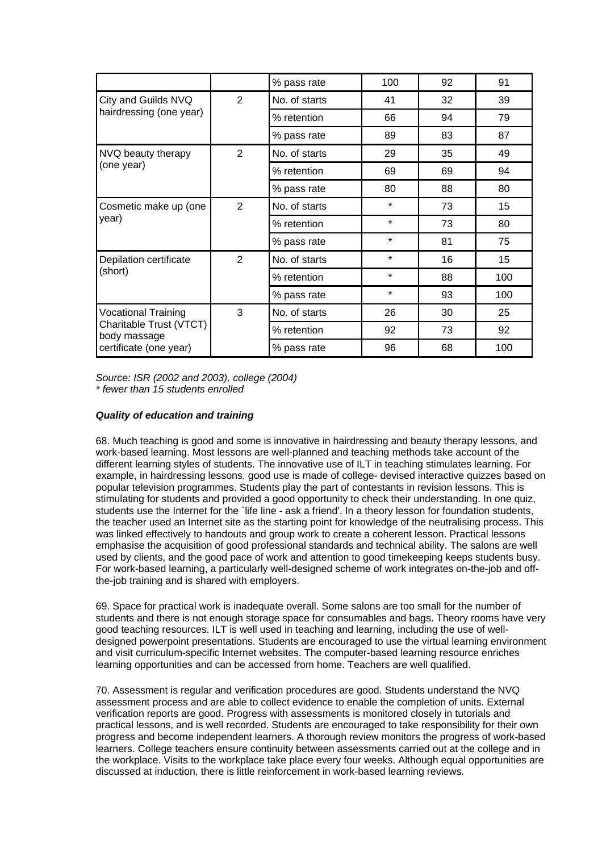|                                         |                | % pass rate   | 100     | 92 | 91  |
|-----------------------------------------|----------------|---------------|---------|----|-----|
| City and Guilds NVQ                     | $\overline{2}$ | No. of starts | 41      | 32 | 39  |
| hairdressing (one year)                 |                | % retention   | 66      | 94 | 79  |
|                                         |                | % pass rate   | 89      | 83 | 87  |
| NVQ beauty therapy                      | $\overline{2}$ | No. of starts | 29      | 35 | 49  |
| (one year)                              |                | % retention   | 69      | 69 | 94  |
|                                         |                | % pass rate   | 80      | 88 | 80  |
| Cosmetic make up (one                   | $\overline{2}$ | No. of starts | $\star$ | 73 | 15  |
| year)                                   |                | % retention   | $\star$ | 73 | 80  |
|                                         |                | % pass rate   | $\star$ | 81 | 75  |
| Depilation certificate                  | $\overline{2}$ | No. of starts | $\star$ | 16 | 15  |
| (short)                                 |                | % retention   | $\star$ | 88 | 100 |
|                                         |                | % pass rate   | $\star$ | 93 | 100 |
| <b>Vocational Training</b>              | 3              | No. of starts | 26      | 30 | 25  |
| Charitable Trust (VTCT)<br>body massage |                | % retention   | 92      | 73 | 92  |
| certificate (one year)                  |                | % pass rate   | 96      | 68 | 100 |

*Source: ISR (2002 and 2003), college (2004) \* fewer than 15 students enrolled*

### *Quality of education and training*

68. Much teaching is good and some is innovative in hairdressing and beauty therapy lessons, and work-based learning. Most lessons are well-planned and teaching methods take account of the different learning styles of students. The innovative use of ILT in teaching stimulates learning. For example, in hairdressing lessons, good use is made of college- devised interactive quizzes based on popular television programmes. Students play the part of contestants in revision lessons. This is stimulating for students and provided a good opportunity to check their understanding. In one quiz, students use the Internet for the `life line - ask a friend'. In a theory lesson for foundation students, the teacher used an Internet site as the starting point for knowledge of the neutralising process. This was linked effectively to handouts and group work to create a coherent lesson. Practical lessons emphasise the acquisition of good professional standards and technical ability. The salons are well used by clients, and the good pace of work and attention to good timekeeping keeps students busy. For work-based learning, a particularly well-designed scheme of work integrates on-the-job and offthe-job training and is shared with employers.

69. Space for practical work is inadequate overall. Some salons are too small for the number of students and there is not enough storage space for consumables and bags. Theory rooms have very good teaching resources. ILT is well used in teaching and learning, including the use of welldesigned powerpoint presentations. Students are encouraged to use the virtual learning environment and visit curriculum-specific Internet websites. The computer-based learning resource enriches learning opportunities and can be accessed from home. Teachers are well qualified.

70. Assessment is regular and verification procedures are good. Students understand the NVQ assessment process and are able to collect evidence to enable the completion of units. External verification reports are good. Progress with assessments is monitored closely in tutorials and practical lessons, and is well recorded. Students are encouraged to take responsibility for their own progress and become independent learners. A thorough review monitors the progress of work-based learners. College teachers ensure continuity between assessments carried out at the college and in the workplace. Visits to the workplace take place every four weeks. Although equal opportunities are discussed at induction, there is little reinforcement in work-based learning reviews.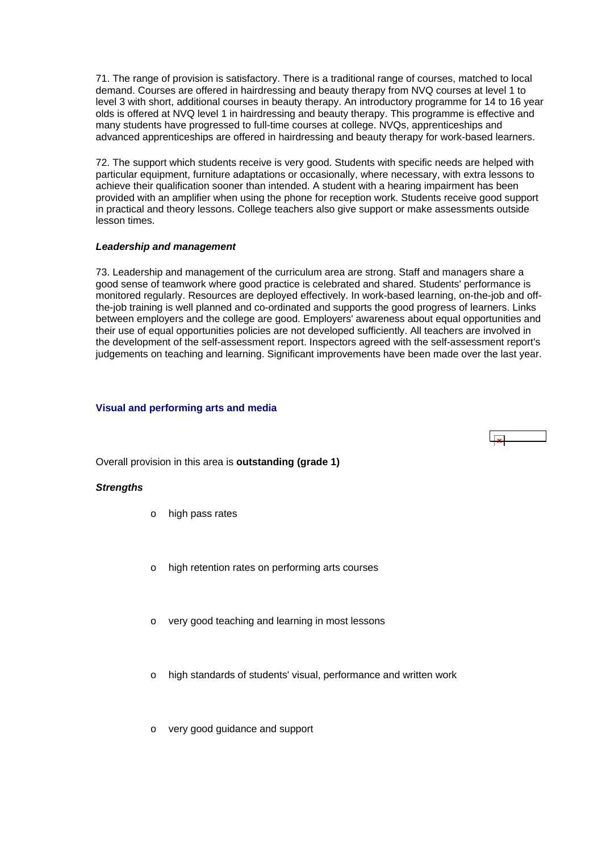<span id="page-26-0"></span>71. The range of provision is satisfactory. There is a traditional range of courses, matched to local demand. Courses are offered in hairdressing and beauty therapy from NVQ courses at level 1 to level 3 with short, additional courses in beauty therapy. An introductory programme for 14 to 16 year olds is offered at NVQ level 1 in hairdressing and beauty therapy. This programme is effective and many students have progressed to full-time courses at college. NVQs, apprenticeships and advanced apprenticeships are offered in hairdressing and beauty therapy for work-based learners.

72. The support which students receive is very good. Students with specific needs are helped with particular equipment, furniture adaptations or occasionally, where necessary, with extra lessons to achieve their qualification sooner than intended. A student with a hearing impairment has been provided with an amplifier when using the phone for reception work. Students receive good support in practical and theory lessons. College teachers also give support or make assessments outside lesson times.

### *Leadership and management*

73. Leadership and management of the curriculum area are strong. Staff and managers share a good sense of teamwork where good practice is celebrated and shared. Students' performance is monitored regularly. Resources are deployed effectively. In work-based learning, on-the-job and offthe-job training is well planned and co-ordinated and supports the good progress of learners. Links between employers and the college are good. Employers' awareness about equal opportunities and their use of equal opportunities policies are not developed sufficiently. All teachers are involved in the development of the self-assessment report. Inspectors agreed with the self-assessment report's judgements on teaching and learning. Significant improvements have been made over the last year.

### **Visual and performing arts and media**

Overall provision in this area is **outstanding (grade 1)**

### *Strengths*

- o high pass rates
- high retention rates on performing arts courses
- o very good teaching and learning in most lessons
- o high standards of students' visual, performance and written work
- o very good guidance and support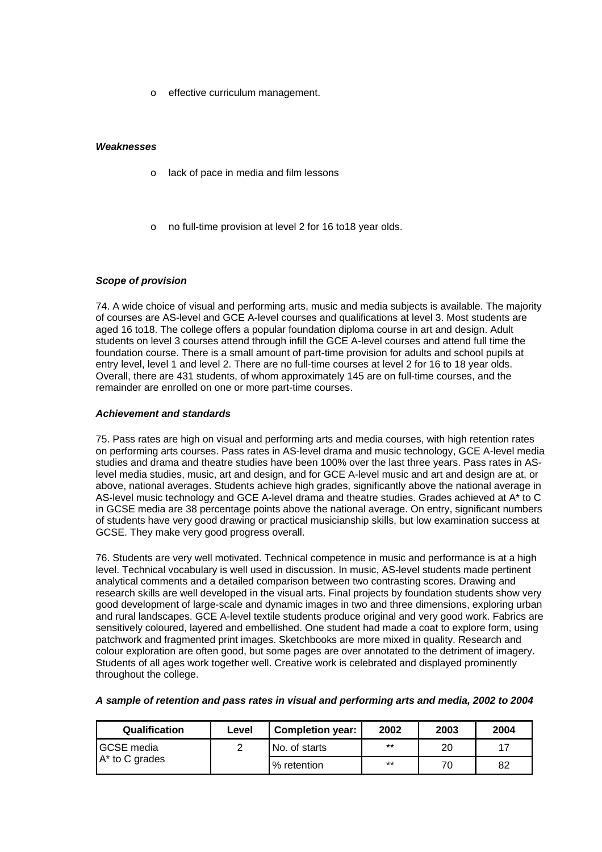o effective curriculum management.

### *Weaknesses*

- o lack of pace in media and film lessons
- o no full-time provision at level 2 for 16 to18 year olds.

### *Scope of provision*

74. A wide choice of visual and performing arts, music and media subjects is available. The majority of courses are AS-level and GCE A-level courses and qualifications at level 3. Most students are aged 16 to18. The college offers a popular foundation diploma course in art and design. Adult students on level 3 courses attend through infill the GCE A-level courses and attend full time the foundation course. There is a small amount of part-time provision for adults and school pupils at entry level, level 1 and level 2. There are no full-time courses at level 2 for 16 to 18 year olds. Overall, there are 431 students, of whom approximately 145 are on full-time courses, and the remainder are enrolled on one or more part-time courses.

### *Achievement and standards*

75. Pass rates are high on visual and performing arts and media courses, with high retention rates on performing arts courses. Pass rates in AS-level drama and music technology, GCE A-level media studies and drama and theatre studies have been 100% over the last three years. Pass rates in ASlevel media studies, music, art and design, and for GCE A-level music and art and design are at, or above, national averages. Students achieve high grades, significantly above the national average in AS-level music technology and GCE A-level drama and theatre studies. Grades achieved at A\* to C in GCSE media are 38 percentage points above the national average. On entry, significant numbers of students have very good drawing or practical musicianship skills, but low examination success at GCSE. They make very good progress overall.

76. Students are very well motivated. Technical competence in music and performance is at a high level. Technical vocabulary is well used in discussion. In music, AS-level students made pertinent analytical comments and a detailed comparison between two contrasting scores. Drawing and research skills are well developed in the visual arts. Final projects by foundation students show very good development of large-scale and dynamic images in two and three dimensions, exploring urban and rural landscapes. GCE A-level textile students produce original and very good work. Fabrics are sensitively coloured, layered and embellished. One student had made a coat to explore form, using patchwork and fragmented print images. Sketchbooks are more mixed in quality. Research and colour exploration are often good, but some pages are over annotated to the detriment of imagery. Students of all ages work together well. Creative work is celebrated and displayed prominently throughout the college.

|  |  | A sample of retention and pass rates in visual and performing arts and media, 2002 to 2004 |  |
|--|--|--------------------------------------------------------------------------------------------|--|
|--|--|--------------------------------------------------------------------------------------------|--|

| <b>Qualification</b> | Level | <b>Completion year:</b> | 2002  | 2003 | 2004 |
|----------------------|-------|-------------------------|-------|------|------|
| <b>IGCSE</b> media   |       | No. of starts           | $***$ | 20   |      |
| A* to C grades       |       | % retention             | $***$ | 70   | 82   |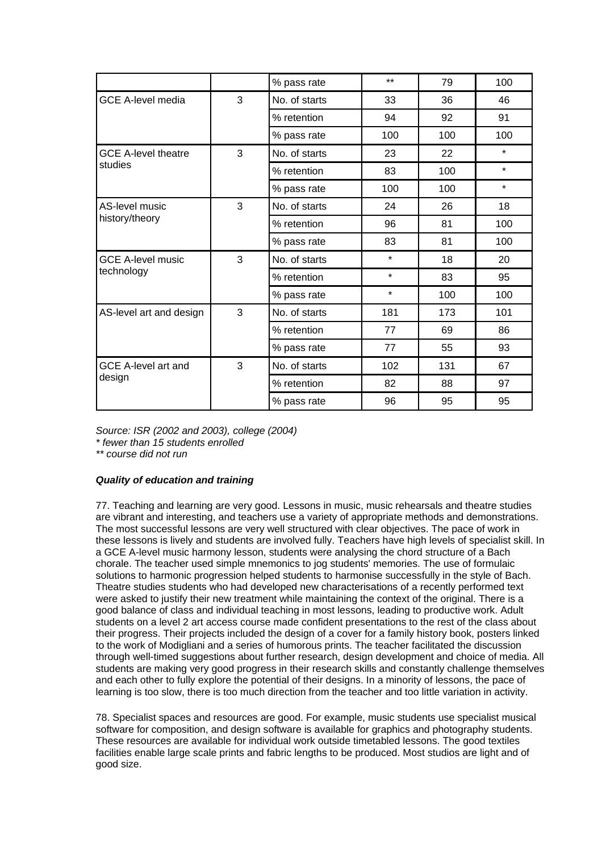|                            |   | % pass rate   | $**$    | 79  | 100     |
|----------------------------|---|---------------|---------|-----|---------|
| <b>GCE A-level media</b>   | 3 | No. of starts | 33      | 36  | 46      |
|                            |   | % retention   | 94      | 92  | 91      |
|                            |   | % pass rate   | 100     | 100 | 100     |
| <b>GCE A-level theatre</b> | 3 | No. of starts | 23      | 22  | $\star$ |
| studies                    |   | % retention   | 83      | 100 | $\star$ |
|                            |   | % pass rate   | 100     | 100 | $\star$ |
| AS-level music             | 3 | No. of starts | 24      | 26  | 18      |
| history/theory             |   | % retention   | 96      | 81  | 100     |
|                            |   | % pass rate   | 83      | 81  | 100     |
| <b>GCE A-level music</b>   | 3 | No. of starts | $\star$ | 18  | 20      |
| technology                 |   | % retention   | $\star$ | 83  | 95      |
|                            |   | % pass rate   | $\star$ | 100 | 100     |
| AS-level art and design    | 3 | No. of starts | 181     | 173 | 101     |
|                            |   | % retention   | 77      | 69  | 86      |
|                            |   | % pass rate   | 77      | 55  | 93      |
| <b>GCE A-level art and</b> | 3 | No. of starts | 102     | 131 | 67      |
| design                     |   | % retention   | 82      | 88  | 97      |
|                            |   | % pass rate   | 96      | 95  | 95      |

*Source: ISR (2002 and 2003), college (2004)* 

*\* fewer than 15 students enrolled* 

*\*\* course did not run*

### *Quality of education and training*

77. Teaching and learning are very good. Lessons in music, music rehearsals and theatre studies are vibrant and interesting, and teachers use a variety of appropriate methods and demonstrations. The most successful lessons are very well structured with clear objectives. The pace of work in these lessons is lively and students are involved fully. Teachers have high levels of specialist skill. In a GCE A-level music harmony lesson, students were analysing the chord structure of a Bach chorale. The teacher used simple mnemonics to jog students' memories. The use of formulaic solutions to harmonic progression helped students to harmonise successfully in the style of Bach. Theatre studies students who had developed new characterisations of a recently performed text were asked to justify their new treatment while maintaining the context of the original. There is a good balance of class and individual teaching in most lessons, leading to productive work. Adult students on a level 2 art access course made confident presentations to the rest of the class about their progress. Their projects included the design of a cover for a family history book, posters linked to the work of Modigliani and a series of humorous prints. The teacher facilitated the discussion through well-timed suggestions about further research, design development and choice of media. All students are making very good progress in their research skills and constantly challenge themselves and each other to fully explore the potential of their designs. In a minority of lessons, the pace of learning is too slow, there is too much direction from the teacher and too little variation in activity.

78. Specialist spaces and resources are good. For example, music students use specialist musical software for composition, and design software is available for graphics and photography students. These resources are available for individual work outside timetabled lessons. The good textiles facilities enable large scale prints and fabric lengths to be produced. Most studios are light and of good size.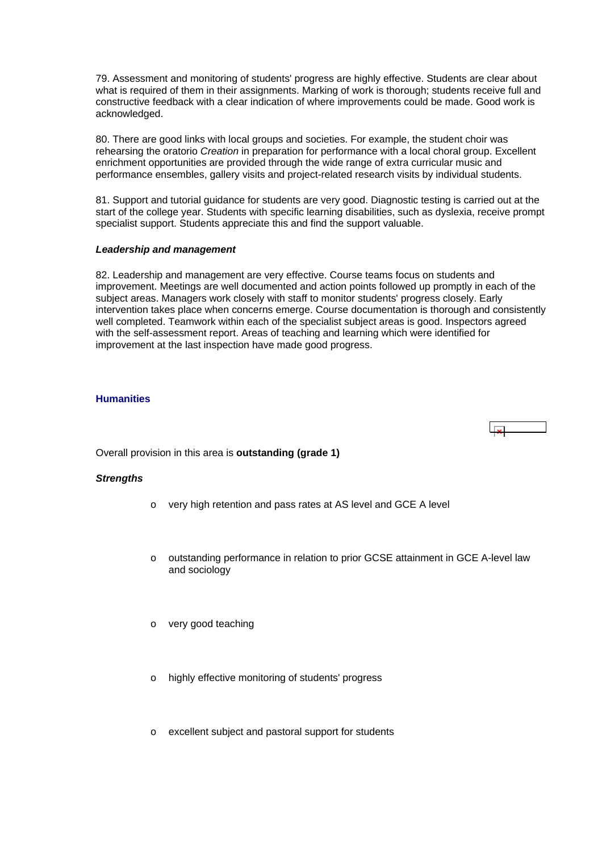<span id="page-29-0"></span>79. Assessment and monitoring of students' progress are highly effective. Students are clear about what is required of them in their assignments. Marking of work is thorough; students receive full and constructive feedback with a clear indication of where improvements could be made. Good work is acknowledged.

80. There are good links with local groups and societies. For example, the student choir was rehearsing the oratorio *Creation* in preparation for performance with a local choral group. Excellent enrichment opportunities are provided through the wide range of extra curricular music and performance ensembles, gallery visits and project-related research visits by individual students.

81. Support and tutorial guidance for students are very good. Diagnostic testing is carried out at the start of the college year. Students with specific learning disabilities, such as dyslexia, receive prompt specialist support. Students appreciate this and find the support valuable.

### *Leadership and management*

82. Leadership and management are very effective. Course teams focus on students and improvement. Meetings are well documented and action points followed up promptly in each of the subject areas. Managers work closely with staff to monitor students' progress closely. Early intervention takes place when concerns emerge. Course documentation is thorough and consistently well completed. Teamwork within each of the specialist subject areas is good. Inspectors agreed with the self-assessment report. Areas of teaching and learning which were identified for improvement at the last inspection have made good progress.

### **Humanities**

 $\overline{1}$ 

Overall provision in this area is **outstanding (grade 1)**

### *Strengths*

- o very high retention and pass rates at AS level and GCE A level
- o outstanding performance in relation to prior GCSE attainment in GCE A-level law and sociology
- o very good teaching
- highly effective monitoring of students' progress
- excellent subject and pastoral support for students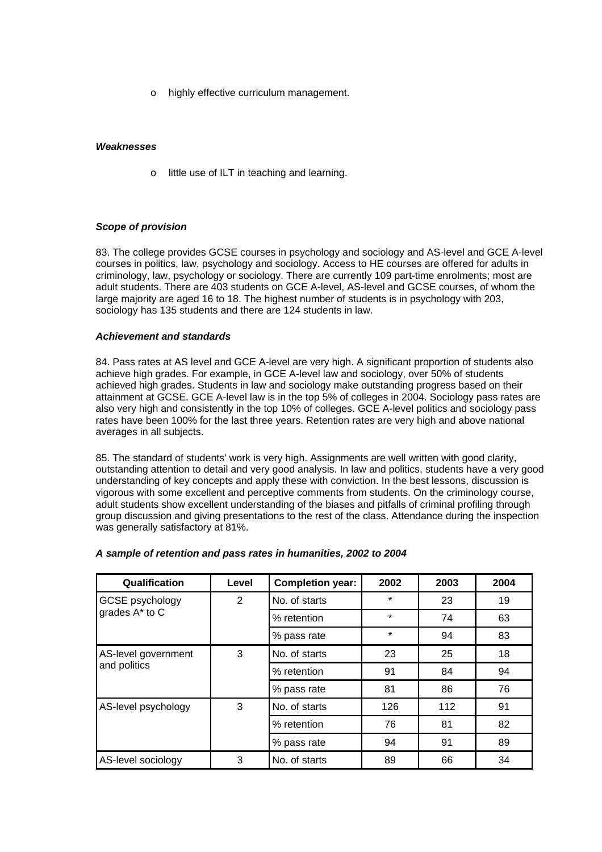o highly effective curriculum management.

### *Weaknesses*

o little use of ILT in teaching and learning.

### *Scope of provision*

83. The college provides GCSE courses in psychology and sociology and AS-level and GCE A-level courses in politics, law, psychology and sociology. Access to HE courses are offered for adults in criminology, law, psychology or sociology. There are currently 109 part-time enrolments; most are adult students. There are 403 students on GCE A-level, AS-level and GCSE courses, of whom the large majority are aged 16 to 18. The highest number of students is in psychology with 203, sociology has 135 students and there are 124 students in law.

### *Achievement and standards*

84. Pass rates at AS level and GCE A-level are very high. A significant proportion of students also achieve high grades. For example, in GCE A-level law and sociology, over 50% of students achieved high grades. Students in law and sociology make outstanding progress based on their attainment at GCSE. GCE A-level law is in the top 5% of colleges in 2004. Sociology pass rates are also very high and consistently in the top 10% of colleges. GCE A-level politics and sociology pass rates have been 100% for the last three years. Retention rates are very high and above national averages in all subjects.

85. The standard of students' work is very high. Assignments are well written with good clarity, outstanding attention to detail and very good analysis. In law and politics, students have a very good understanding of key concepts and apply these with conviction. In the best lessons, discussion is vigorous with some excellent and perceptive comments from students. On the criminology course, adult students show excellent understanding of the biases and pitfalls of criminal profiling through group discussion and giving presentations to the rest of the class. Attendance during the inspection was generally satisfactory at 81%.

| Qualification                       | Level | <b>Completion year:</b> | 2002    | 2003 | 2004 |
|-------------------------------------|-------|-------------------------|---------|------|------|
| <b>GCSE</b> psychology              | 2     | No. of starts           | $\star$ | 23   | 19   |
| grades A* to C                      |       | % retention             | $\star$ | 74   | 63   |
|                                     |       | % pass rate             | $\star$ | 94   | 83   |
| AS-level government<br>and politics | 3     | No. of starts           | 23      | 25   | 18   |
|                                     |       | % retention             | 91      | 84   | 94   |
|                                     |       | % pass rate             | 81      | 86   | 76   |
| AS-level psychology                 | 3     | No. of starts           | 126     | 112  | 91   |
|                                     |       | % retention             | 76      | 81   | 82   |
|                                     |       | % pass rate             | 94      | 91   | 89   |
| AS-level sociology                  | 3     | No. of starts           | 89      | 66   | 34   |

### *A sample of retention and pass rates in humanities, 2002 to 2004*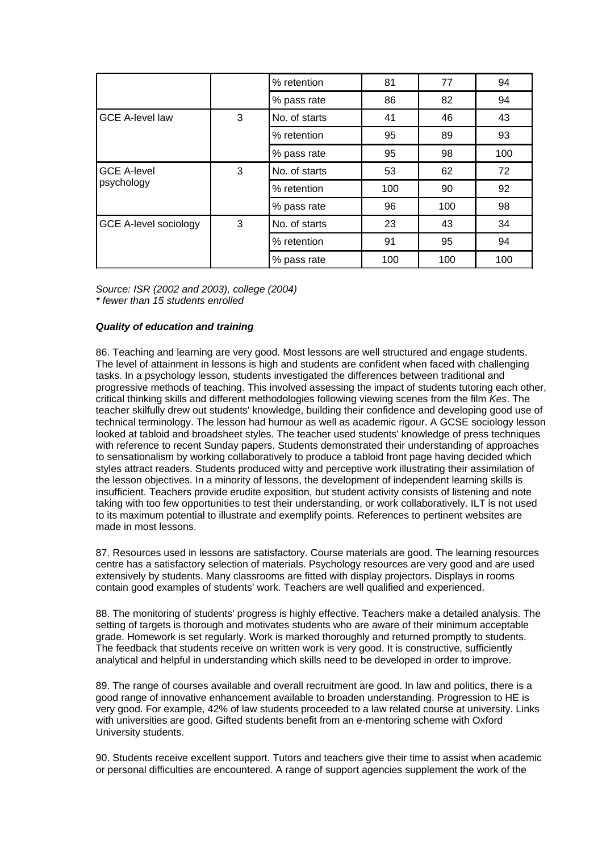|                              |   | % retention   | 81  | 77  | 94  |
|------------------------------|---|---------------|-----|-----|-----|
|                              |   | % pass rate   | 86  | 82  | 94  |
| <b>GCE A-level law</b>       | 3 | No. of starts | 41  | 46  | 43  |
|                              |   | % retention   | 95  | 89  | 93  |
|                              |   | % pass rate   | 95  | 98  | 100 |
| <b>GCE A-level</b>           | 3 | No. of starts | 53  | 62  | 72  |
| psychology                   |   | % retention   | 100 | 90  | 92  |
|                              |   | % pass rate   | 96  | 100 | 98  |
| <b>GCE A-level sociology</b> | 3 | No. of starts | 23  | 43  | 34  |
|                              |   | % retention   | 91  | 95  | 94  |
|                              |   | % pass rate   | 100 | 100 | 100 |

*Source: ISR (2002 and 2003), college (2004) \* fewer than 15 students enrolled*

### *Quality of education and training*

86. Teaching and learning are very good. Most lessons are well structured and engage students. The level of attainment in lessons is high and students are confident when faced with challenging tasks. In a psychology lesson, students investigated the differences between traditional and progressive methods of teaching. This involved assessing the impact of students tutoring each other, critical thinking skills and different methodologies following viewing scenes from the film *Kes*. The teacher skilfully drew out students' knowledge, building their confidence and developing good use of technical terminology. The lesson had humour as well as academic rigour. A GCSE sociology lesson looked at tabloid and broadsheet styles. The teacher used students' knowledge of press techniques with reference to recent Sunday papers. Students demonstrated their understanding of approaches to sensationalism by working collaboratively to produce a tabloid front page having decided which styles attract readers. Students produced witty and perceptive work illustrating their assimilation of the lesson objectives. In a minority of lessons, the development of independent learning skills is insufficient. Teachers provide erudite exposition, but student activity consists of listening and note taking with too few opportunities to test their understanding, or work collaboratively. ILT is not used to its maximum potential to illustrate and exemplify points. References to pertinent websites are made in most lessons.

87. Resources used in lessons are satisfactory. Course materials are good. The learning resources centre has a satisfactory selection of materials. Psychology resources are very good and are used extensively by students. Many classrooms are fitted with display projectors. Displays in rooms contain good examples of students' work. Teachers are well qualified and experienced.

88. The monitoring of students' progress is highly effective. Teachers make a detailed analysis. The setting of targets is thorough and motivates students who are aware of their minimum acceptable grade. Homework is set regularly. Work is marked thoroughly and returned promptly to students. The feedback that students receive on written work is very good. It is constructive, sufficiently analytical and helpful in understanding which skills need to be developed in order to improve.

89. The range of courses available and overall recruitment are good. In law and politics, there is a good range of innovative enhancement available to broaden understanding. Progression to HE is very good. For example, 42% of law students proceeded to a law related course at university. Links with universities are good. Gifted students benefit from an e-mentoring scheme with Oxford University students.

90. Students receive excellent support. Tutors and teachers give their time to assist when academic or personal difficulties are encountered. A range of support agencies supplement the work of the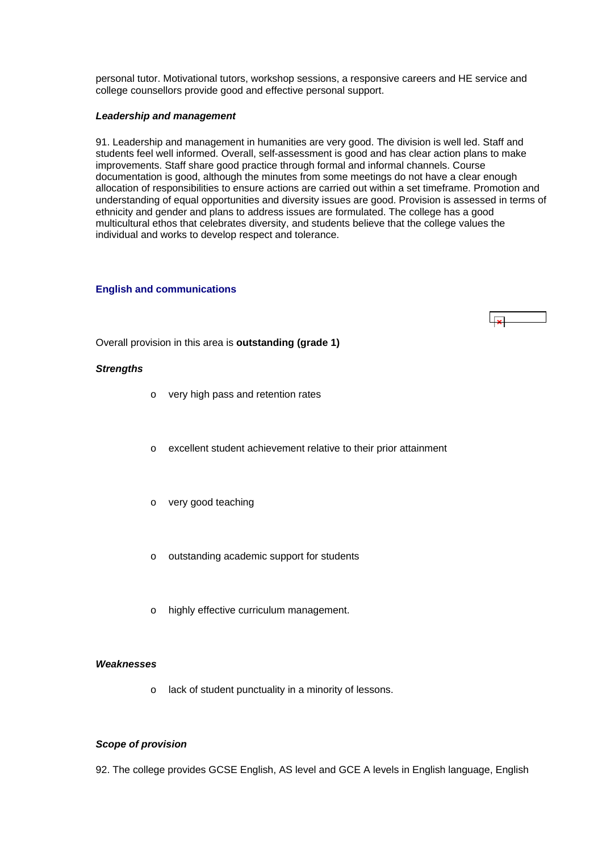<span id="page-32-0"></span>personal tutor. Motivational tutors, workshop sessions, a responsive careers and HE service and college counsellors provide good and effective personal support.

#### *Leadership and management*

91. Leadership and management in humanities are very good. The division is well led. Staff and students feel well informed. Overall, self-assessment is good and has clear action plans to make improvements. Staff share good practice through formal and informal channels. Course documentation is good, although the minutes from some meetings do not have a clear enough allocation of responsibilities to ensure actions are carried out within a set timeframe. Promotion and understanding of equal opportunities and diversity issues are good. Provision is assessed in terms of ethnicity and gender and plans to address issues are formulated. The college has a good multicultural ethos that celebrates diversity, and students believe that the college values the individual and works to develop respect and tolerance.

#### **English and communications**



Overall provision in this area is **outstanding (grade 1)**

#### *Strengths*

- o very high pass and retention rates
- o excellent student achievement relative to their prior attainment
- o very good teaching
- o outstanding academic support for students
- o highly effective curriculum management.

### *Weaknesses*

o lack of student punctuality in a minority of lessons.

### *Scope of provision*

92. The college provides GCSE English, AS level and GCE A levels in English language, English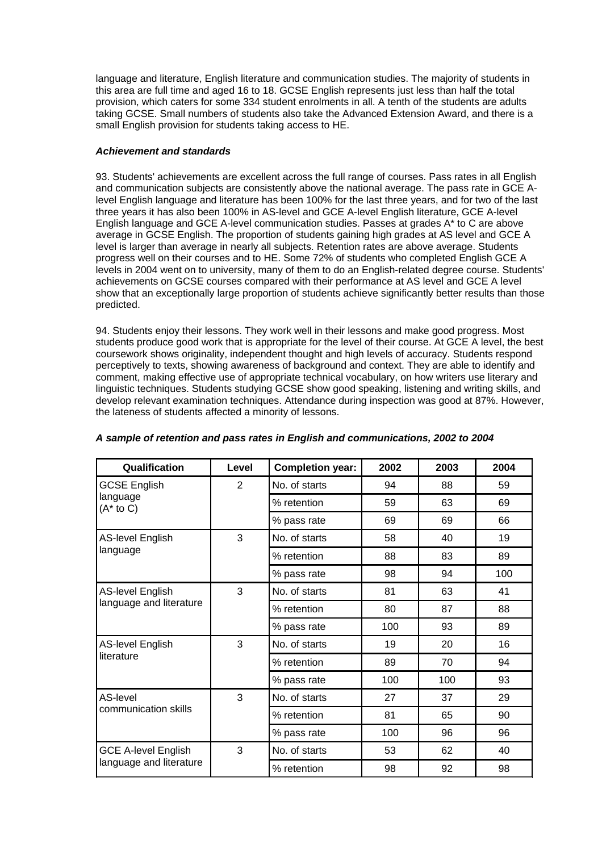language and literature, English literature and communication studies. The majority of students in this area are full time and aged 16 to 18. GCSE English represents just less than half the total provision, which caters for some 334 student enrolments in all. A tenth of the students are adults taking GCSE. Small numbers of students also take the Advanced Extension Award, and there is a small English provision for students taking access to HE.

### *Achievement and standards*

93. Students' achievements are excellent across the full range of courses. Pass rates in all English and communication subjects are consistently above the national average. The pass rate in GCE Alevel English language and literature has been 100% for the last three years, and for two of the last three years it has also been 100% in AS-level and GCE A-level English literature, GCE A-level English language and GCE A-level communication studies. Passes at grades A\* to C are above average in GCSE English. The proportion of students gaining high grades at AS level and GCE A level is larger than average in nearly all subjects. Retention rates are above average. Students progress well on their courses and to HE. Some 72% of students who completed English GCE A levels in 2004 went on to university, many of them to do an English-related degree course. Students' achievements on GCSE courses compared with their performance at AS level and GCE A level show that an exceptionally large proportion of students achieve significantly better results than those predicted.

94. Students enjoy their lessons. They work well in their lessons and make good progress. Most students produce good work that is appropriate for the level of their course. At GCE A level, the best coursework shows originality, independent thought and high levels of accuracy. Students respond perceptively to texts, showing awareness of background and context. They are able to identify and comment, making effective use of appropriate technical vocabulary, on how writers use literary and linguistic techniques. Students studying GCSE show good speaking, listening and writing skills, and develop relevant examination techniques. Attendance during inspection was good at 87%. However, the lateness of students affected a minority of lessons.

| Qualification                    | Level | <b>Completion year:</b> | 2002 | 2003 | 2004 |
|----------------------------------|-------|-------------------------|------|------|------|
| <b>GCSE English</b>              | 2     | No. of starts           | 94   | 88   | 59   |
| language<br>$(A^*$ to C)         |       | % retention             | 59   | 63   | 69   |
|                                  |       | % pass rate             | 69   | 69   | 66   |
| <b>AS-level English</b>          | 3     | No. of starts           | 58   | 40   | 19   |
| language                         |       | % retention             | 88   | 83   | 89   |
|                                  |       | % pass rate             | 98   | 94   | 100  |
| <b>AS-level English</b>          | 3     | No. of starts           | 81   | 63   | 41   |
| language and literature          |       | % retention             | 80   | 87   | 88   |
|                                  |       | % pass rate             | 100  | 93   | 89   |
| <b>AS-level English</b>          | 3     | No. of starts           | 19   | 20   | 16   |
| literature                       |       | % retention             | 89   | 70   | 94   |
|                                  |       | % pass rate             | 100  | 100  | 93   |
| AS-level<br>communication skills | 3     | No. of starts           | 27   | 37   | 29   |
|                                  |       | % retention             | 81   | 65   | 90   |
|                                  |       | % pass rate             | 100  | 96   | 96   |
| <b>GCE A-level English</b>       | 3     | No. of starts           | 53   | 62   | 40   |
| language and literature          |       | % retention             | 98   | 92   | 98   |

### *A sample of retention and pass rates in English and communications, 2002 to 2004*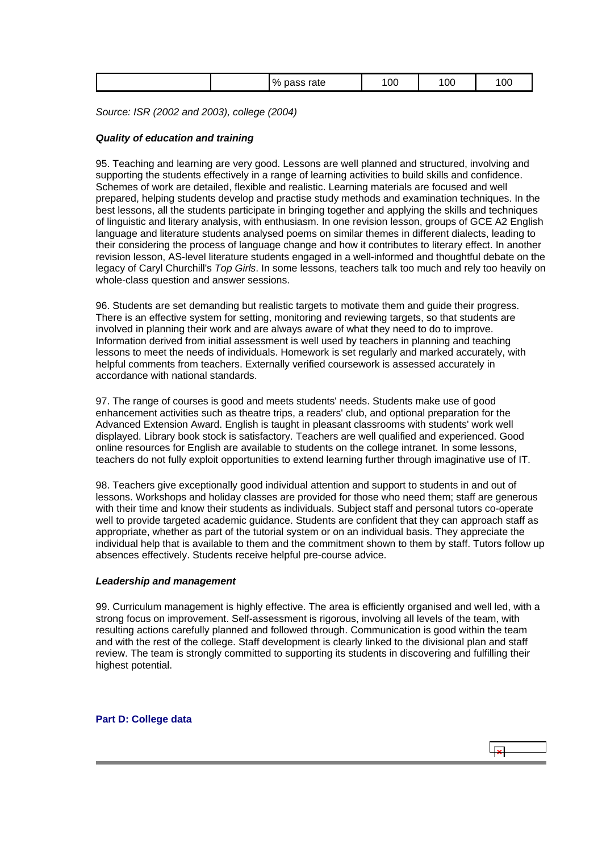<span id="page-34-0"></span>

| 100<br>O(<br>00<br>$\%$<br>rate<br>-<br>سم د<br>כסי |
|-----------------------------------------------------|
|-----------------------------------------------------|

*Source: ISR (2002 and 2003), college (2004)*

### *Quality of education and training*

95. Teaching and learning are very good. Lessons are well planned and structured, involving and supporting the students effectively in a range of learning activities to build skills and confidence. Schemes of work are detailed, flexible and realistic. Learning materials are focused and well prepared, helping students develop and practise study methods and examination techniques. In the best lessons, all the students participate in bringing together and applying the skills and techniques of linguistic and literary analysis, with enthusiasm. In one revision lesson, groups of GCE A2 English language and literature students analysed poems on similar themes in different dialects, leading to their considering the process of language change and how it contributes to literary effect. In another revision lesson, AS-level literature students engaged in a well-informed and thoughtful debate on the legacy of Caryl Churchill's *Top Girls*. In some lessons, teachers talk too much and rely too heavily on whole-class question and answer sessions.

96. Students are set demanding but realistic targets to motivate them and guide their progress. There is an effective system for setting, monitoring and reviewing targets, so that students are involved in planning their work and are always aware of what they need to do to improve. Information derived from initial assessment is well used by teachers in planning and teaching lessons to meet the needs of individuals. Homework is set regularly and marked accurately, with helpful comments from teachers. Externally verified coursework is assessed accurately in accordance with national standards.

97. The range of courses is good and meets students' needs. Students make use of good enhancement activities such as theatre trips, a readers' club, and optional preparation for the Advanced Extension Award. English is taught in pleasant classrooms with students' work well displayed. Library book stock is satisfactory. Teachers are well qualified and experienced. Good online resources for English are available to students on the college intranet. In some lessons, teachers do not fully exploit opportunities to extend learning further through imaginative use of IT.

98. Teachers give exceptionally good individual attention and support to students in and out of lessons. Workshops and holiday classes are provided for those who need them; staff are generous with their time and know their students as individuals. Subject staff and personal tutors co-operate well to provide targeted academic guidance. Students are confident that they can approach staff as appropriate, whether as part of the tutorial system or on an individual basis. They appreciate the individual help that is available to them and the commitment shown to them by staff. Tutors follow up absences effectively. Students receive helpful pre-course advice.

### *Leadership and management*

99. Curriculum management is highly effective. The area is efficiently organised and well led, with a strong focus on improvement. Self-assessment is rigorous, involving all levels of the team, with resulting actions carefully planned and followed through. Communication is good within the team and with the rest of the college. Staff development is clearly linked to the divisional plan and staff review. The team is strongly committed to supporting its students in discovering and fulfilling their highest potential.

 $\overline{R}$ 

**Part D: College data**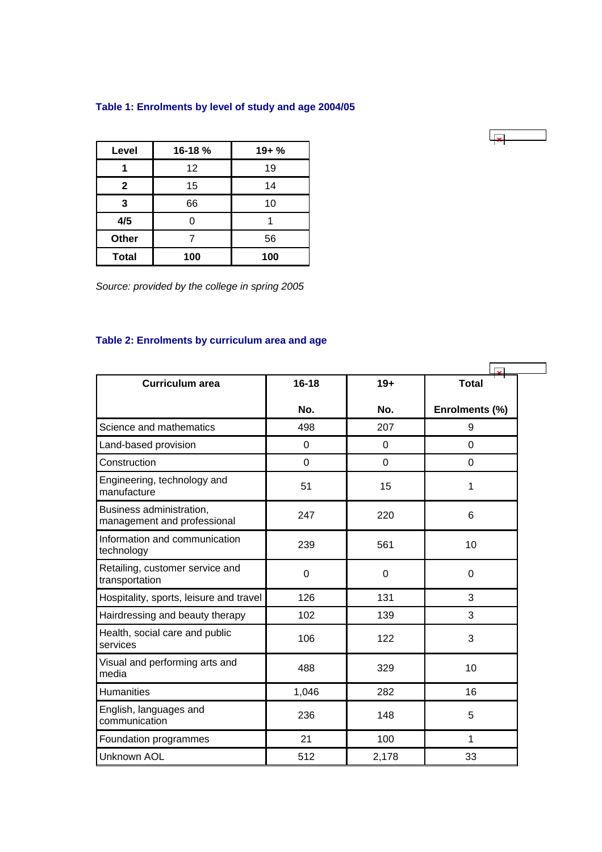## <span id="page-35-0"></span>**Table 1: Enrolments by level of study and age 2004/05**

| Level        | 16-18 % | $19 + \%$ |
|--------------|---------|-----------|
|              | 12      | 19        |
| $\mathbf{2}$ | 15      | 14        |
| 3            | 66      | 10        |
| 4/5          |         |           |
| Other        |         | 56        |
| <b>Total</b> | 100     | 100       |

*Source: provided by the college in spring 2005*

# **Table 2: Enrolments by curriculum area and age**

|                                                         |                |                | <b>I</b> <sub>2</sub> |
|---------------------------------------------------------|----------------|----------------|-----------------------|
| <b>Curriculum area</b>                                  | $16 - 18$      | $19+$          | <b>Total</b>          |
|                                                         | No.            | No.            | Enrolments (%)        |
| Science and mathematics                                 | 498            | 207            | 9                     |
| Land-based provision                                    | $\mathbf 0$    | 0              | $\overline{0}$        |
| Construction                                            | $\overline{0}$ | $\overline{0}$ | $\overline{0}$        |
| Engineering, technology and<br>manufacture              | 51             | 15             | 1                     |
| Business administration,<br>management and professional | 247            | 220            | 6                     |
| Information and communication<br>technology             | 239            | 561            | 10                    |
| Retailing, customer service and<br>transportation       | 0              | 0              | 0                     |
| Hospitality, sports, leisure and travel                 | 126            | 131            | 3                     |
| Hairdressing and beauty therapy                         | 102            | 139            | 3                     |
| Health, social care and public<br>services              | 106            | 122            | 3                     |
| Visual and performing arts and<br>media                 | 488            | 329            | 10                    |
| <b>Humanities</b>                                       | 1,046          | 282            | 16                    |
| English, languages and<br>communication                 | 236            | 148            | 5                     |
| Foundation programmes                                   | 21             | 100            | 1                     |
| <b>Unknown AOL</b>                                      | 512            | 2,178          | 33                    |

 $\overline{1}$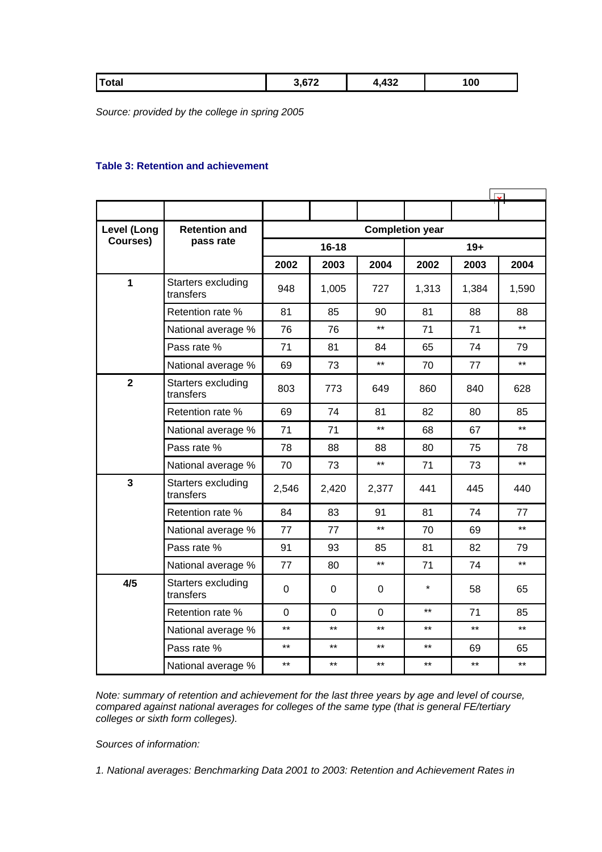<span id="page-36-0"></span>

| Total | $\sim$<br>97 Z | 122<br>∡د⊬,+ | 100 |
|-------|----------------|--------------|-----|
|       |                |              |     |

*Source: provided by the college in spring 2005*

### **Table 3: Retention and achievement**

| <b>Level (Long</b>      | <b>Retention and</b>            | <b>Completion year</b> |             |                |         |       |       |
|-------------------------|---------------------------------|------------------------|-------------|----------------|---------|-------|-------|
| Courses)                | pass rate                       | $16 - 18$              |             |                | $19+$   |       |       |
|                         |                                 | 2002                   | 2003        | 2004           | 2002    | 2003  | 2004  |
| 1                       | Starters excluding<br>transfers | 948                    | 1,005       | 727            | 1,313   | 1,384 | 1,590 |
|                         | Retention rate %                | 81                     | 85          | 90             | 81      | 88    | 88    |
|                         | National average %              | 76                     | 76          | $**$           | 71      | 71    | $***$ |
|                         | Pass rate %                     | 71                     | 81          | 84             | 65      | 74    | 79    |
|                         | National average %              | 69                     | 73          | $\star\star$   | 70      | 77    | $***$ |
| $\overline{2}$          | Starters excluding<br>transfers | 803                    | 773         | 649            | 860     | 840   | 628   |
|                         | Retention rate %                | 69                     | 74          | 81             | 82      | 80    | 85    |
|                         | National average %              | 71                     | 71          | $\star\star$   | 68      | 67    | $***$ |
|                         | Pass rate %                     | 78                     | 88          | 88             | 80      | 75    | 78    |
|                         | National average %              | 70                     | 73          | $***$          | 71      | 73    | $***$ |
| $\overline{\mathbf{3}}$ | Starters excluding<br>transfers | 2,546                  | 2,420       | 2,377          | 441     | 445   | 440   |
|                         | Retention rate %                | 84                     | 83          | 91             | 81      | 74    | 77    |
|                         | National average %              | 77                     | 77          | $\star\star$   | 70      | 69    | $***$ |
|                         | Pass rate %                     | 91                     | 93          | 85             | 81      | 82    | 79    |
|                         | National average %              | 77                     | 80          | $***$          | 71      | 74    | $***$ |
| 4/5                     | Starters excluding<br>transfers | $\mathbf 0$            | $\mathbf 0$ | 0              | $\star$ | 58    | 65    |
|                         | Retention rate %                | $\Omega$               | $\Omega$    | $\overline{0}$ | $***$   | 71    | 85    |
|                         | National average %              | $***$                  | $***$       | $***$          | $***$   | $***$ | $***$ |
|                         | Pass rate %                     | $***$                  | $***$       | $***$          | $***$   | 69    | 65    |
|                         | National average %              | $***$                  | $***$       | $***$          | $***$   | $***$ | $***$ |

*Note: summary of retention and achievement for the last three years by age and level of course, compared against national averages for colleges of the same type (that is general FE/tertiary colleges or sixth form colleges).*

*Sources of information:* 

*1. National averages: Benchmarking Data 2001 to 2003: Retention and Achievement Rates in*